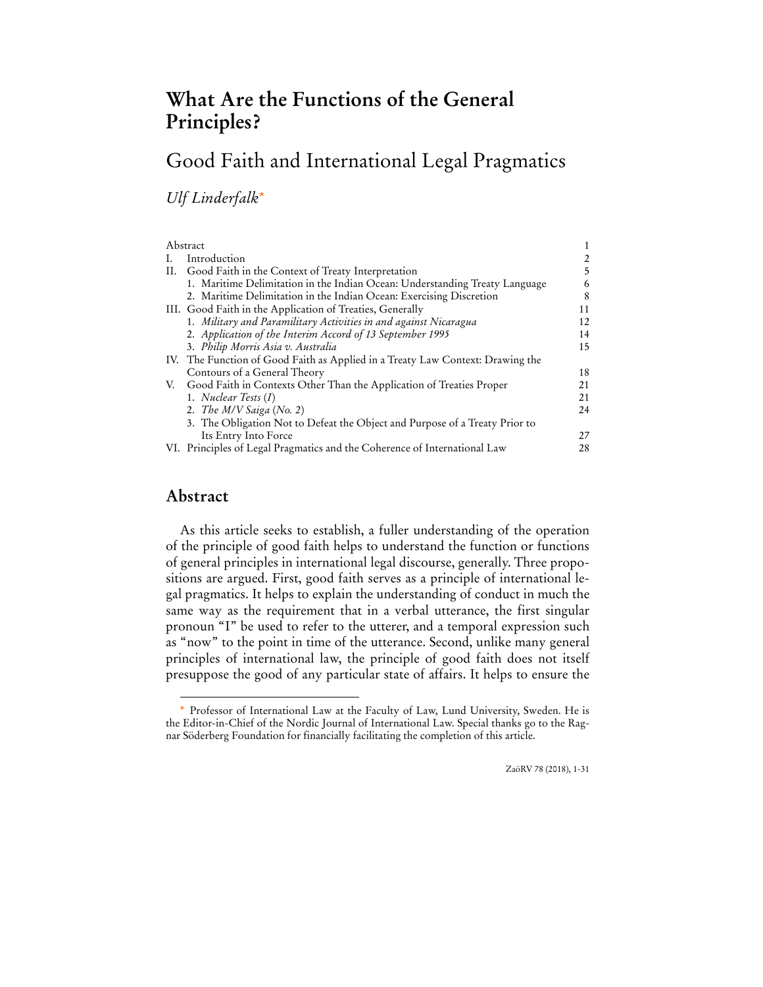# **What Are the Functions of the General Principles?**

# Good Faith and International Legal Pragmatics

*Ulf Linderfalk*\*

| Abstract |                                                                                |    |
|----------|--------------------------------------------------------------------------------|----|
|          | Introduction                                                                   |    |
| Н.       | Good Faith in the Context of Treaty Interpretation                             | 5  |
|          | 1. Maritime Delimitation in the Indian Ocean: Understanding Treaty Language    | 6  |
|          | 2. Maritime Delimitation in the Indian Ocean: Exercising Discretion            | 8  |
|          | III. Good Faith in the Application of Treaties, Generally                      | 11 |
|          | 1. Military and Paramilitary Activities in and against Nicaragua               | 12 |
|          | 2. Application of the Interim Accord of 13 September 1995                      | 14 |
|          | 3. Philip Morris Asia v. Australia                                             | 15 |
|          | IV. The Function of Good Faith as Applied in a Treaty Law Context: Drawing the |    |
|          | Contours of a General Theory                                                   | 18 |
|          | V. Good Faith in Contexts Other Than the Application of Treaties Proper        | 21 |
|          | 1. Nuclear Tests $(I)$                                                         | 21 |
|          | 2. The $M/V$ Saiga (No. 2)                                                     | 24 |
|          | 3. The Obligation Not to Defeat the Object and Purpose of a Treaty Prior to    |    |
|          | Its Entry Into Force                                                           | 27 |
|          | VI. Principles of Legal Pragmatics and the Coherence of International Law      | 28 |

## **Abstract**

 $\overline{a}$ 

As this article seeks to establish, a fuller understanding of the operation of the principle of good faith helps to understand the function or functions of general principles in international legal discourse, generally. Three propositions are argued. First, good faith serves as a principle of international legal pragmatics. It helps to explain the understanding of conduct in much the same way as the requirement that in a verbal utterance, the first singular pronoun "I" be used to refer to the utterer, and a temporal expression such as "now" to the point in time of the utterance. Second, unlike many general principles of international law, the principle of good faith does not itself presuppose the good of any particular state of affairs. It helps to ensure the

ZaöRV 78 (2018), 1-31

<sup>\*</sup> Professor of International Law at the Faculty of Law, Lund University, Sweden. He is the Editor-in-Chief of the Nordic Journal of International Law. Special thanks go to the Ragnar Söderberg Foundation for financially facilitating the completion of this article.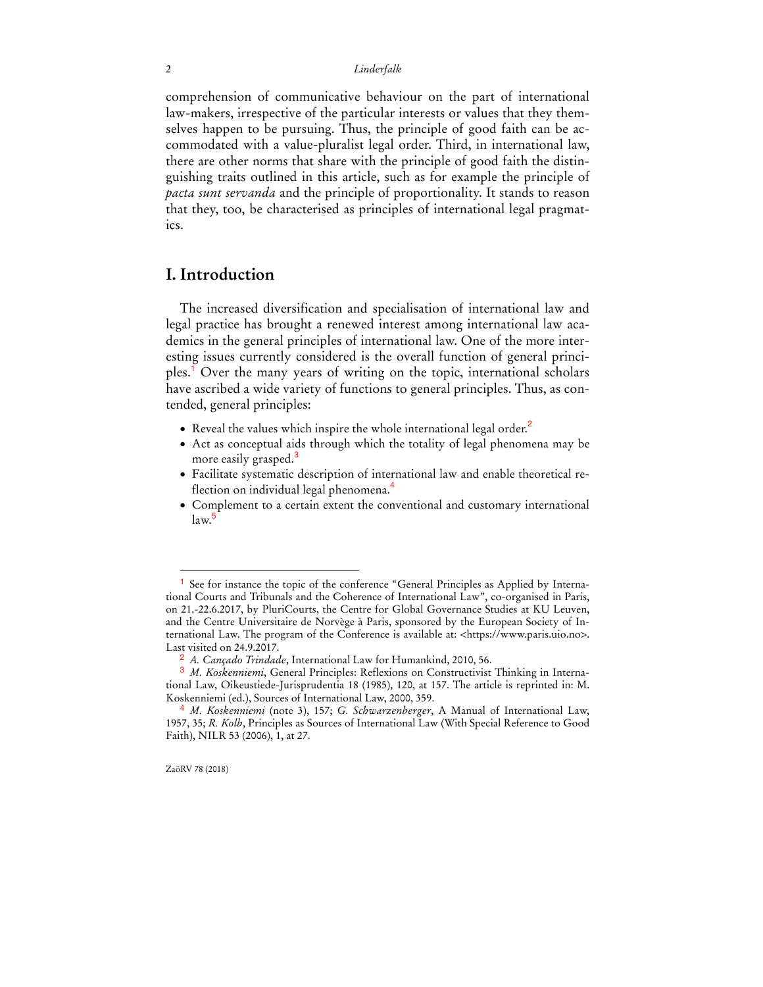comprehension of communicative behaviour on the part of international law-makers, irrespective of the particular interests or values that they themselves happen to be pursuing. Thus, the principle of good faith can be accommodated with a value-pluralist legal order. Third, in international law, there are other norms that share with the principle of good faith the distinguishing traits outlined in this article, such as for example the principle of *pacta sunt servanda* and the principle of proportionality. It stands to reason that they, too, be characterised as principles of international legal pragmatics.

## **I. Introduction**

The increased diversification and specialisation of international law and legal practice has brought a renewed interest among international law academics in the general principles of international law. One of the more interesting issues currently considered is the overall function of general principles.<sup>1</sup> Over the many years of writing on the topic, international scholars have ascribed a wide variety of functions to general principles. Thus, as contended, general principles:

- Reveal the values which inspire the whole international legal order.<sup>2</sup>
- Act as conceptual aids through which the totality of legal phenomena may be more easily grasped.<sup>3</sup>
- Facilitate systematic description of international law and enable theoretical reflection on individual legal phenomena.<sup>4</sup>
- Complement to a certain extent the conventional and customary international  $law<sup>5</sup>$

<sup>&</sup>lt;sup>1</sup> See for instance the topic of the conference "General Principles as Applied by International Courts and Tribunals and the Coherence of International Law", co-organised in Paris, on 21.-22.6.2017, by PluriCourts, the Centre for Global Governance Studies at KU Leuven, and the Centre Universitaire de Norvège à Paris, sponsored by the European Society of International Law. The program of the Conference is available at: <https://www.paris.uio.no>. Last visited on 24.9.2017.

<sup>2</sup> *A. Cançado Trindade*, International Law for Humankind, 2010, 56.

<sup>3</sup> *M. Koskenniemi*, General Principles: Reflexions on Constructivist Thinking in International Law, Oikeustiede-Jurisprudentia 18 (1985), 120, at 157. The article is reprinted in: M. Koskenniemi (ed.), Sources of International Law, 2000, 359.

<sup>4</sup> *M. Koskenniemi* (note 3), 157; *G. Schwarzenberger*, A Manual of International Law, 1957, 35; *R. Kolb*, Principles as Sources of International Law (With Special Reference to Good Faith), NILR 53 (2006), 1, at 27.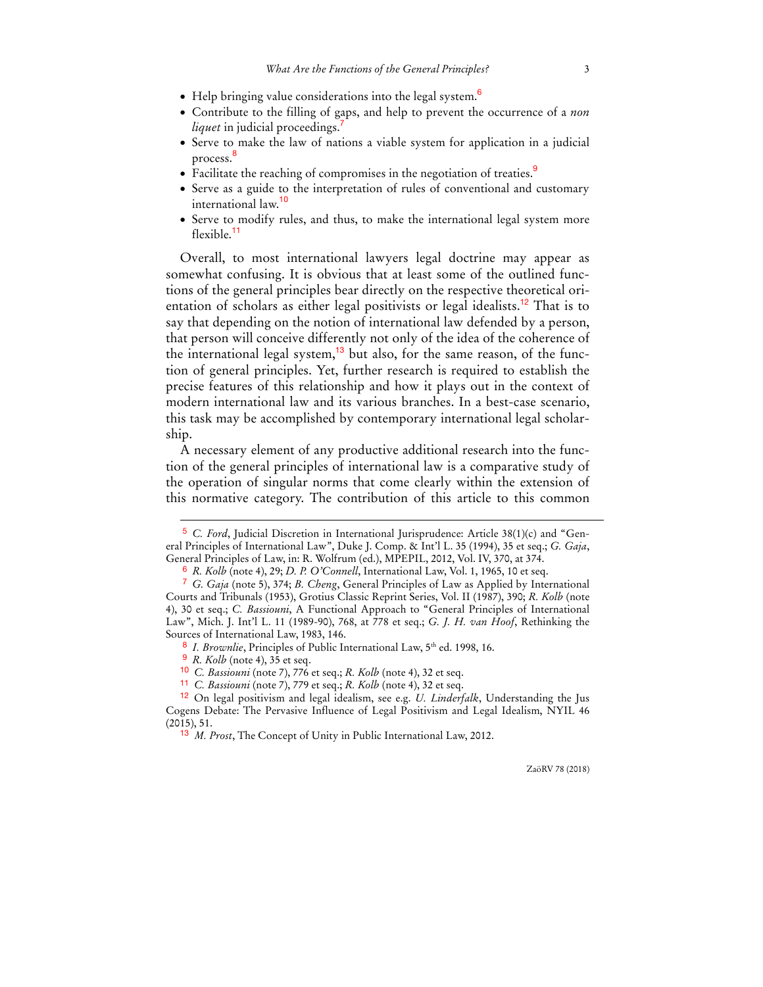- $\bullet$  Help bringing value considerations into the legal system.<sup>6</sup>
- Contribute to the filling of gaps, and help to prevent the occurrence of a *non liquet* in judicial proceedings.
- Serve to make the law of nations a viable system for application in a judicial process. 8
- Facilitate the reaching of compromises in the negotiation of treaties.<sup>9</sup>
- Serve as a guide to the interpretation of rules of conventional and customary international law.<sup>10</sup>
- Serve to modify rules, and thus, to make the international legal system more flexible.<sup>11</sup>

Overall, to most international lawyers legal doctrine may appear as somewhat confusing. It is obvious that at least some of the outlined functions of the general principles bear directly on the respective theoretical orientation of scholars as either legal positivists or legal idealists.<sup>12</sup> That is to say that depending on the notion of international law defended by a person, that person will conceive differently not only of the idea of the coherence of the international legal system,<sup>13</sup> but also, for the same reason, of the function of general principles. Yet, further research is required to establish the precise features of this relationship and how it plays out in the context of modern international law and its various branches. In a best-case scenario, this task may be accomplished by contemporary international legal scholarship.

A necessary element of any productive additional research into the function of the general principles of international law is a comparative study of the operation of singular norms that come clearly within the extension of this normative category. The contribution of this article to this common

 $\overline{a}$ 

11 *C. Bassiouni* (note 7), 779 et seq.; *R. Kolb* (note 4), 32 et seq.

<sup>5</sup> *C. Ford*, Judicial Discretion in International Jurisprudence: Article 38(1)(c) and "General Principles of International Law", Duke J. Comp. & Int'l L. 35 (1994), 35 et seq.; *G. Gaja*, General Principles of Law, in: R. Wolfrum (ed.), MPEPIL, 2012, Vol. IV, 370, at 374.

<sup>6</sup> *R. Kolb* (note 4), 29; *D. P. O'Connell*, International Law, Vol. 1, 1965, 10 et seq.

<sup>7</sup> *G. Gaja* (note 5), 374; *B. Cheng*, General Principles of Law as Applied by International Courts and Tribunals (1953), Grotius Classic Reprint Series, Vol. II (1987), 390; *R. Kolb* (note 4), 30 et seq.; *C. Bassiouni*, A Functional Approach to "General Principles of International Law", Mich. J. Int'l L. 11 (1989-90), 768, at 778 et seq.; *G. J. H. van Hoof*, Rethinking the Sources of International Law, 1983, 146.

<sup>&</sup>lt;sup>8</sup> I. Brownlie, Principles of Public International Law, 5<sup>th</sup> ed. 1998, 16.

<sup>9</sup> *R. Kolb* (note 4), 35 et seq.

<sup>10</sup> *C. Bassiouni* (note 7), 776 et seq.; *R. Kolb* (note 4), 32 et seq.

<sup>12</sup> On legal positivism and legal idealism, see e.g. *U. Linderfalk*, Understanding the Jus Cogens Debate: The Pervasive Influence of Legal Positivism and Legal Idealism, NYIL 46 (2015), 51.

<sup>13</sup> *M. Prost*, The Concept of Unity in Public International Law, 2012.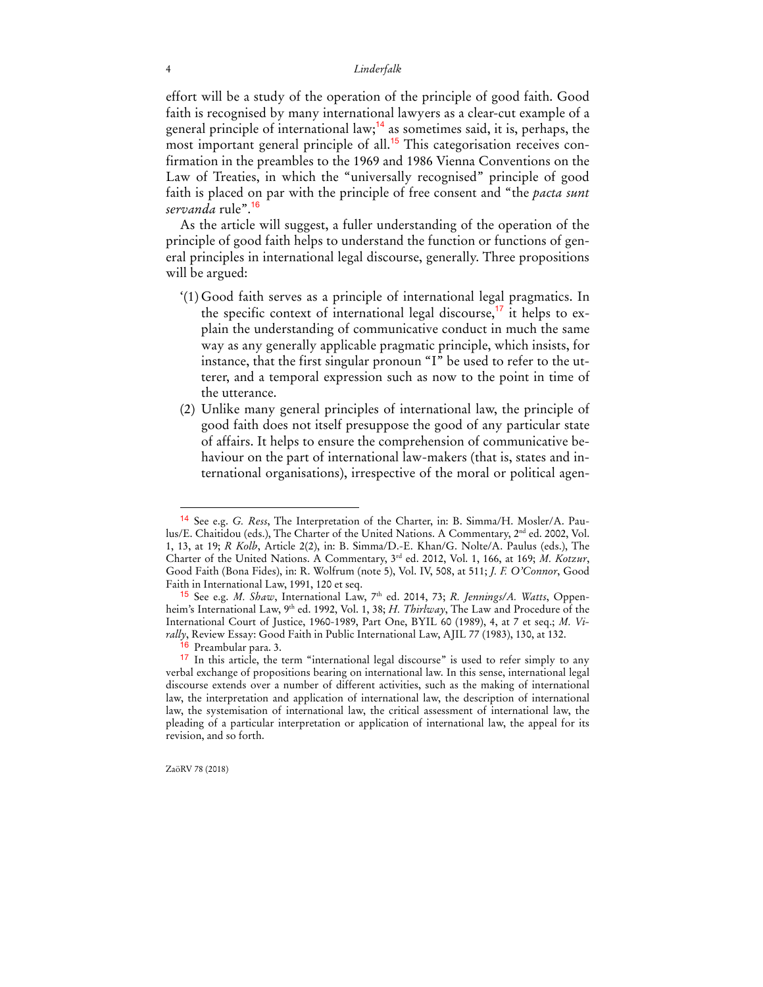effort will be a study of the operation of the principle of good faith. Good faith is recognised by many international lawyers as a clear-cut example of a general principle of international law;<sup>14</sup> as sometimes said, it is, perhaps, the most important general principle of all.<sup>15</sup> This categorisation receives confirmation in the preambles to the 1969 and 1986 Vienna Conventions on the Law of Treaties, in which the "universally recognised" principle of good faith is placed on par with the principle of free consent and "the *pacta sunt servanda* rule".<sup>16</sup>

As the article will suggest, a fuller understanding of the operation of the principle of good faith helps to understand the function or functions of general principles in international legal discourse, generally. Three propositions will be argued:

- '(1) Good faith serves as a principle of international legal pragmatics. In the specific context of international legal discourse,<sup>17</sup> it helps to explain the understanding of communicative conduct in much the same way as any generally applicable pragmatic principle, which insists, for instance, that the first singular pronoun "I" be used to refer to the utterer, and a temporal expression such as now to the point in time of the utterance.
- (2) Unlike many general principles of international law, the principle of good faith does not itself presuppose the good of any particular state of affairs. It helps to ensure the comprehension of communicative behaviour on the part of international law-makers (that is, states and international organisations), irrespective of the moral or political agen-

<sup>14</sup> See e.g. *G. Ress*, The Interpretation of the Charter, in: B. Simma/H. Mosler/A. Paulus/E. Chaitidou (eds.), The Charter of the United Nations. A Commentary, 2nd ed. 2002, Vol. 1, 13, at 19; *R Kolb*, Article 2(2), in: B. Simma/D.-E. Khan/G. Nolte/A. Paulus (eds.), The Charter of the United Nations. A Commentary, 3rd ed. 2012, Vol. 1, 166, at 169; *M. Kotzur*, Good Faith (Bona Fides), in: R. Wolfrum (note 5), Vol. IV, 508, at 511; *J. F. O'Connor*, Good Faith in International Law, 1991, 120 et seq.

<sup>&</sup>lt;sup>15</sup> See e.g. *M. Shaw*, International Law, 7<sup>th</sup> ed. 2014, 73; *R. Jennings/A. Watts*, Oppenheim's International Law, 9<sup>th</sup> ed. 1992, Vol. 1, 38; *H. Thirlway*, The Law and Procedure of the International Court of Justice, 1960-1989, Part One, BYIL 60 (1989), 4, at 7 et seq.; *M. Virally*, Review Essay: Good Faith in Public International Law, AJIL 77 (1983), 130, at 132.

<sup>&</sup>lt;sup>16</sup> Preambular para. 3.

<sup>&</sup>lt;sup>17</sup> In this article, the term "international legal discourse" is used to refer simply to any verbal exchange of propositions bearing on international law. In this sense, international legal discourse extends over a number of different activities, such as the making of international law, the interpretation and application of international law, the description of international law, the systemisation of international law, the critical assessment of international law, the pleading of a particular interpretation or application of international law, the appeal for its revision, and so forth.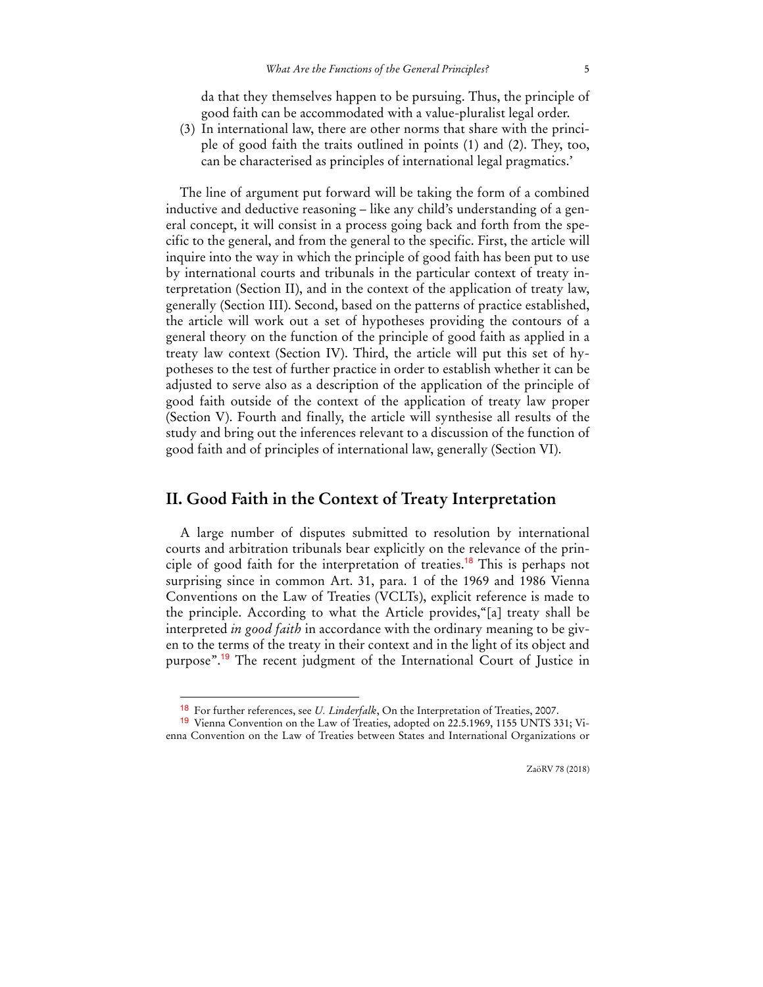da that they themselves happen to be pursuing. Thus, the principle of good faith can be accommodated with a value-pluralist legal order.

(3) In international law, there are other norms that share with the principle of good faith the traits outlined in points (1) and (2). They, too, can be characterised as principles of international legal pragmatics.'

The line of argument put forward will be taking the form of a combined inductive and deductive reasoning – like any child's understanding of a general concept, it will consist in a process going back and forth from the specific to the general, and from the general to the specific. First, the article will inquire into the way in which the principle of good faith has been put to use by international courts and tribunals in the particular context of treaty interpretation (Section II), and in the context of the application of treaty law, generally (Section III). Second, based on the patterns of practice established, the article will work out a set of hypotheses providing the contours of a general theory on the function of the principle of good faith as applied in a treaty law context (Section IV). Third, the article will put this set of hypotheses to the test of further practice in order to establish whether it can be adjusted to serve also as a description of the application of the principle of good faith outside of the context of the application of treaty law proper (Section V). Fourth and finally, the article will synthesise all results of the study and bring out the inferences relevant to a discussion of the function of good faith and of principles of international law, generally (Section VI).

## **II. Good Faith in the Context of Treaty Interpretation**

A large number of disputes submitted to resolution by international courts and arbitration tribunals bear explicitly on the relevance of the principle of good faith for the interpretation of treaties.<sup>18</sup> This is perhaps not surprising since in common Art. 31, para. 1 of the 1969 and 1986 Vienna Conventions on the Law of Treaties (VCLTs), explicit reference is made to the principle. According to what the Article provides,"[a] treaty shall be interpreted *in good faith* in accordance with the ordinary meaning to be given to the terms of the treaty in their context and in the light of its object and purpose".<sup>19</sup> The recent judgment of the International Court of Justice in

<sup>18</sup> For further references, see *U. Linderfalk*, On the Interpretation of Treaties, 2007.

<sup>19</sup> Vienna Convention on the Law of Treaties, adopted on 22.5.1969, 1155 UNTS 331; Vienna Convention on the Law of Treaties between States and International Organizations or

ZaöRV 78 (2018)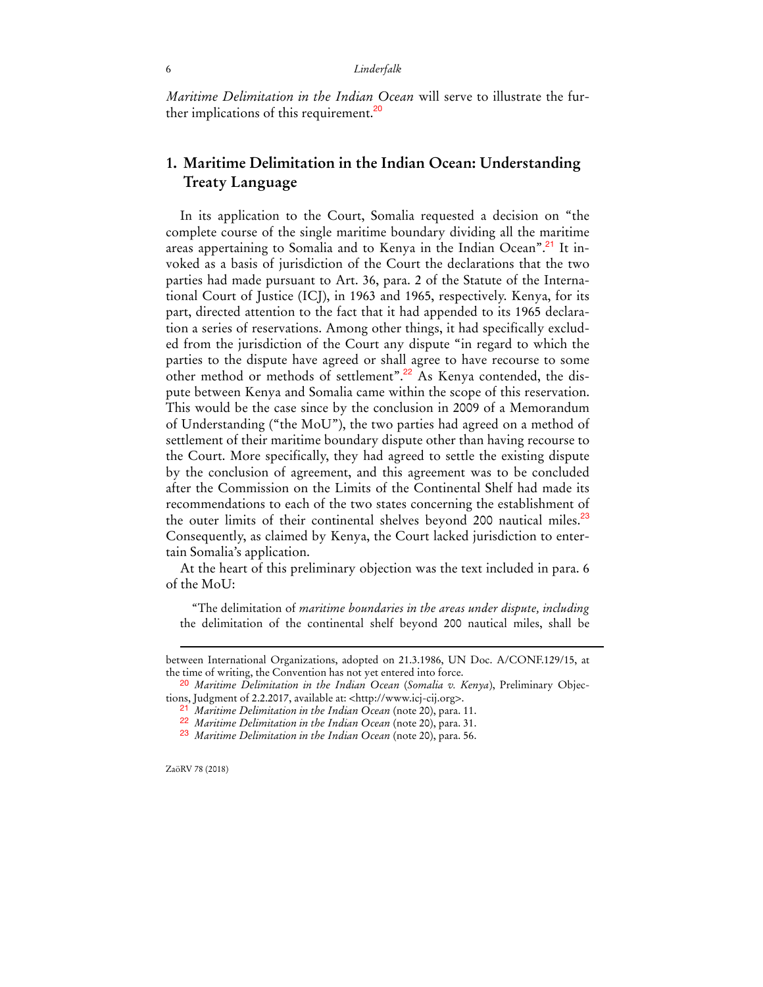*Maritime Delimitation in the Indian Ocean* will serve to illustrate the further implications of this requirement.<sup>20</sup>

## **1. Maritime Delimitation in the Indian Ocean: Understanding Treaty Language**

In its application to the Court, Somalia requested a decision on "the complete course of the single maritime boundary dividing all the maritime areas appertaining to Somalia and to Kenya in the Indian Ocean".<sup>21</sup> It invoked as a basis of jurisdiction of the Court the declarations that the two parties had made pursuant to Art. 36, para. 2 of the Statute of the International Court of Justice (ICJ), in 1963 and 1965, respectively. Kenya, for its part, directed attention to the fact that it had appended to its 1965 declaration a series of reservations. Among other things, it had specifically excluded from the jurisdiction of the Court any dispute "in regard to which the parties to the dispute have agreed or shall agree to have recourse to some other method or methods of settlement".<sup>22</sup> As Kenya contended, the dispute between Kenya and Somalia came within the scope of this reservation. This would be the case since by the conclusion in 2009 of a Memorandum of Understanding ("the MoU"), the two parties had agreed on a method of settlement of their maritime boundary dispute other than having recourse to the Court. More specifically, they had agreed to settle the existing dispute by the conclusion of agreement, and this agreement was to be concluded after the Commission on the Limits of the Continental Shelf had made its recommendations to each of the two states concerning the establishment of the outer limits of their continental shelves beyond 200 nautical miles.<sup>23</sup> Consequently, as claimed by Kenya, the Court lacked jurisdiction to entertain Somalia's application.

At the heart of this preliminary objection was the text included in para. 6 of the MoU:

"The delimitation of *maritime boundaries in the areas under dispute, including*  the delimitation of the continental shelf beyond 200 nautical miles, shall be

between International Organizations, adopted on 21.3.1986, UN Doc. A/CONF.129/15, at the time of writing, the Convention has not yet entered into force.

20 *Maritime Delimitation in the Indian Ocean* (*Somalia v. Kenya*), Preliminary Objections, Judgment of 2.2.2017, available at: <http://www.icj-cij.org>.

<sup>21</sup> *Maritime Delimitation in the Indian Ocean* (note 20), para. 11.

<sup>22</sup> *Maritime Delimitation in the Indian Ocean* (note 20), para. 31.

<sup>23</sup> *Maritime Delimitation in the Indian Ocean* (note 20), para. 56.

ZaöRV 78 (2018)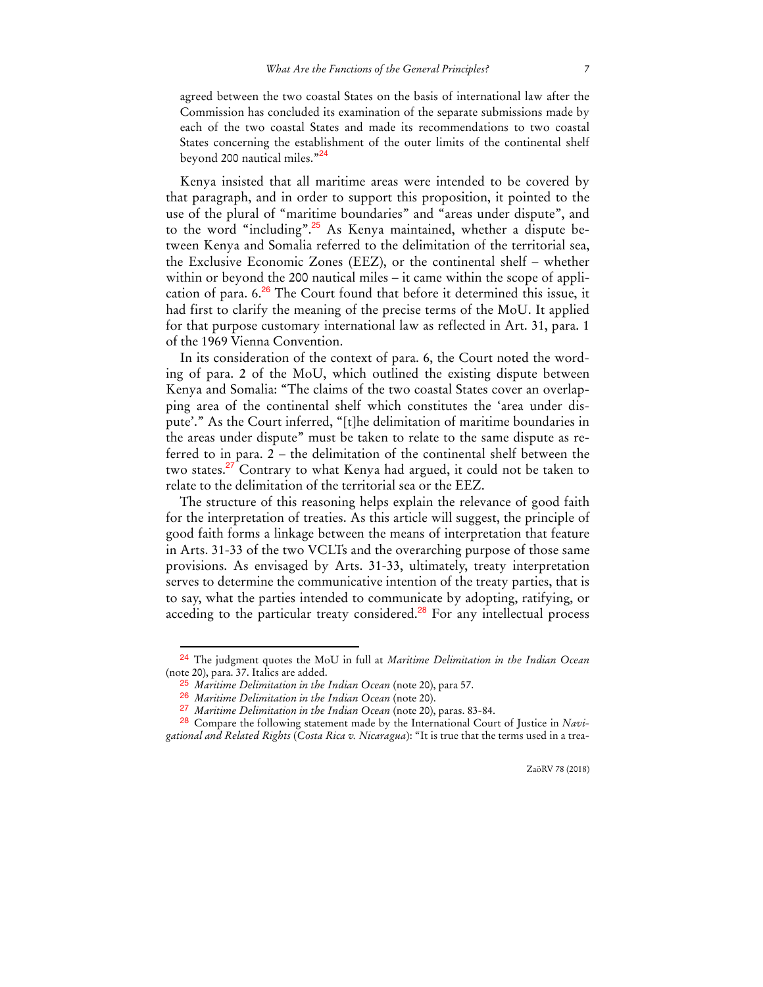agreed between the two coastal States on the basis of international law after the Commission has concluded its examination of the separate submissions made by each of the two coastal States and made its recommendations to two coastal States concerning the establishment of the outer limits of the continental shelf beyond 200 nautical miles."<sup>24</sup>

Kenya insisted that all maritime areas were intended to be covered by that paragraph, and in order to support this proposition, it pointed to the use of the plural of "maritime boundaries" and "areas under dispute", and to the word "including".25 As Kenya maintained, whether a dispute between Kenya and Somalia referred to the delimitation of the territorial sea, the Exclusive Economic Zones (EEZ), or the continental shelf – whether within or beyond the 200 nautical miles – it came within the scope of application of para.  $6.26$  The Court found that before it determined this issue, it had first to clarify the meaning of the precise terms of the MoU. It applied for that purpose customary international law as reflected in Art. 31, para. 1 of the 1969 Vienna Convention.

In its consideration of the context of para. 6, the Court noted the wording of para. 2 of the MoU, which outlined the existing dispute between Kenya and Somalia: "The claims of the two coastal States cover an overlapping area of the continental shelf which constitutes the 'area under dispute'." As the Court inferred, "[t]he delimitation of maritime boundaries in the areas under dispute" must be taken to relate to the same dispute as referred to in para. 2 – the delimitation of the continental shelf between the two states.<sup>27</sup> Contrary to what Kenya had argued, it could not be taken to relate to the delimitation of the territorial sea or the EEZ.

The structure of this reasoning helps explain the relevance of good faith for the interpretation of treaties. As this article will suggest, the principle of good faith forms a linkage between the means of interpretation that feature in Arts. 31-33 of the two VCLTs and the overarching purpose of those same provisions. As envisaged by Arts. 31-33, ultimately, treaty interpretation serves to determine the communicative intention of the treaty parties, that is to say, what the parties intended to communicate by adopting, ratifying, or acceding to the particular treaty considered.<sup>28</sup> For any intellectual process

<sup>24</sup> The judgment quotes the MoU in full at *Maritime Delimitation in the Indian Ocean*  (note 20), para. 37. Italics are added.

<sup>25</sup> *Maritime Delimitation in the Indian Ocean* (note 20), para 57.

<sup>26</sup> *Maritime Delimitation in the Indian Ocean* (note 20).

<sup>27</sup> *Maritime Delimitation in the Indian Ocean* (note 20), paras. 83-84.

<sup>28</sup> Compare the following statement made by the International Court of Justice in *Navigational and Related Rights* (*Costa Rica v. Nicaragua*): "It is true that the terms used in a trea-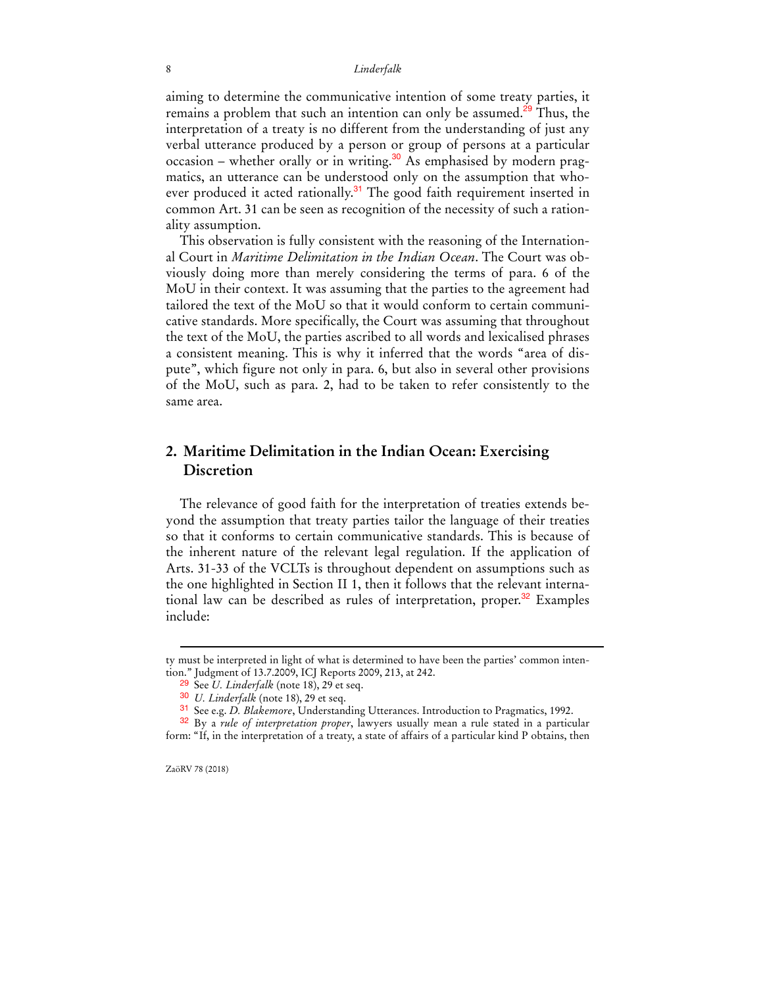aiming to determine the communicative intention of some treaty parties, it remains a problem that such an intention can only be assumed.<sup>29</sup> Thus, the interpretation of a treaty is no different from the understanding of just any verbal utterance produced by a person or group of persons at a particular occasion – whether orally or in writing. $30$  As emphasised by modern pragmatics, an utterance can be understood only on the assumption that whoever produced it acted rationally.<sup>31</sup> The good faith requirement inserted in common Art. 31 can be seen as recognition of the necessity of such a rationality assumption.

This observation is fully consistent with the reasoning of the International Court in *Maritime Delimitation in the Indian Ocean*. The Court was obviously doing more than merely considering the terms of para. 6 of the MoU in their context. It was assuming that the parties to the agreement had tailored the text of the MoU so that it would conform to certain communicative standards. More specifically, the Court was assuming that throughout the text of the MoU, the parties ascribed to all words and lexicalised phrases a consistent meaning. This is why it inferred that the words "area of dispute", which figure not only in para. 6, but also in several other provisions of the MoU, such as para. 2, had to be taken to refer consistently to the same area.

## **2. Maritime Delimitation in the Indian Ocean: Exercising Discretion**

The relevance of good faith for the interpretation of treaties extends beyond the assumption that treaty parties tailor the language of their treaties so that it conforms to certain communicative standards. This is because of the inherent nature of the relevant legal regulation. If the application of Arts. 31-33 of the VCLTs is throughout dependent on assumptions such as the one highlighted in Section II 1, then it follows that the relevant international law can be described as rules of interpretation, proper.<sup>32</sup> Examples include:

ty must be interpreted in light of what is determined to have been the parties' common intention." Judgment of 13.7.2009, ICJ Reports 2009, 213, at 242.

<sup>29</sup> See *U. Linderfalk* (note 18), 29 et seq.

<sup>30</sup> *U. Linderfalk* (note 18), 29 et seq.

<sup>31</sup> See e.g. *D. Blakemore*, Understanding Utterances. Introduction to Pragmatics, 1992.

<sup>32</sup> By a *rule of interpretation proper*, lawyers usually mean a rule stated in a particular form: "If, in the interpretation of a treaty, a state of affairs of a particular kind P obtains, then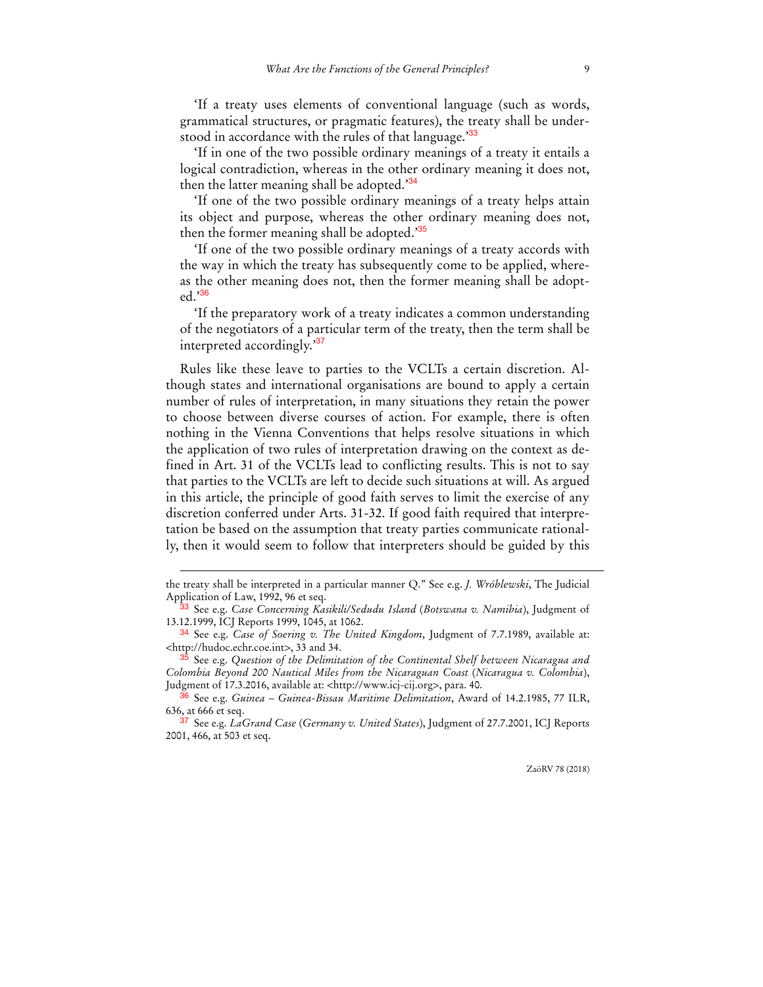'If a treaty uses elements of conventional language (such as words, grammatical structures, or pragmatic features), the treaty shall be understood in accordance with the rules of that language.<sup>33</sup>

'If in one of the two possible ordinary meanings of a treaty it entails a logical contradiction, whereas in the other ordinary meaning it does not, then the latter meaning shall be adopted.<sup>34</sup>

'If one of the two possible ordinary meanings of a treaty helps attain its object and purpose, whereas the other ordinary meaning does not, then the former meaning shall be adopted.<sup>35</sup>

'If one of the two possible ordinary meanings of a treaty accords with the way in which the treaty has subsequently come to be applied, whereas the other meaning does not, then the former meaning shall be adopted.'<sup>36</sup>

'If the preparatory work of a treaty indicates a common understanding of the negotiators of a particular term of the treaty, then the term shall be interpreted accordingly.<sup>37</sup>

Rules like these leave to parties to the VCLTs a certain discretion. Although states and international organisations are bound to apply a certain number of rules of interpretation, in many situations they retain the power to choose between diverse courses of action. For example, there is often nothing in the Vienna Conventions that helps resolve situations in which the application of two rules of interpretation drawing on the context as defined in Art. 31 of the VCLTs lead to conflicting results. This is not to say that parties to the VCLTs are left to decide such situations at will. As argued in this article, the principle of good faith serves to limit the exercise of any discretion conferred under Arts. 31-32. If good faith required that interpretation be based on the assumption that treaty parties communicate rationally, then it would seem to follow that interpreters should be guided by this

the treaty shall be interpreted in a particular manner Q." See e.g. *J. Wróblewski*, The Judicial Application of Law, 1992, 96 et seq.

<sup>33</sup> See e.g. *Case Concerning Kasikili/Sedudu Island* (*Botswana v. Namibia*), Judgment of 13.12.1999, ICJ Reports 1999, 1045, at 1062.

<sup>34</sup> See e.g. *Case of Soering v. The United Kingdom*, Judgment of 7.7.1989, available at: <http://hudoc.echr.coe.int>, 33 and 34.

<sup>35</sup> See e.g. *Question of the Delimitation of the Continental Shelf between Nicaragua and Colombia Beyond 200 Nautical Miles from the Nicaraguan Coast* (*Nicaragua v. Colombia*), Judgment of 17.3.2016, available at: <http://www.icj-cij.org>, para. 40.

<sup>36</sup> See e.g. *Guinea – Guinea-Bissau Maritime Delimitation*, Award of 14.2.1985, 77 ILR, 636, at 666 et seq.

<sup>37</sup> See e.g. *LaGrand Case* (*Germany v. United States*), Judgment of 27.7.2001, ICJ Reports 2001, 466, at 503 et seq.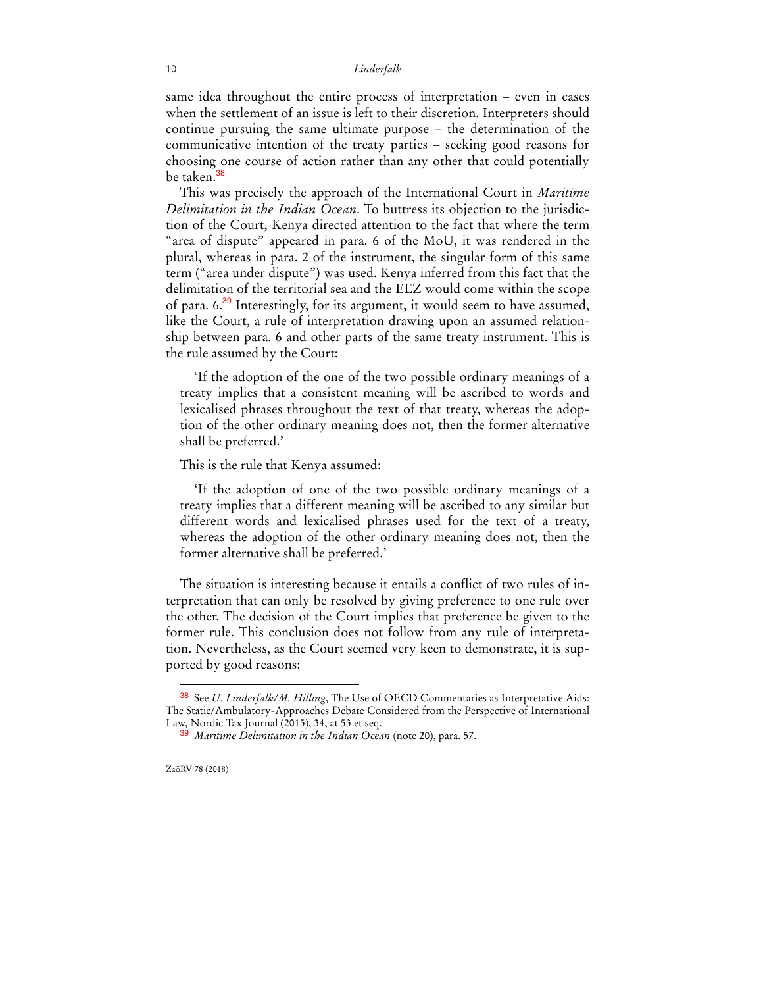same idea throughout the entire process of interpretation – even in cases when the settlement of an issue is left to their discretion. Interpreters should continue pursuing the same ultimate purpose – the determination of the communicative intention of the treaty parties – seeking good reasons for choosing one course of action rather than any other that could potentially be taken.<sup>38</sup>

This was precisely the approach of the International Court in *Maritime Delimitation in the Indian Ocean*. To buttress its objection to the jurisdiction of the Court, Kenya directed attention to the fact that where the term "area of dispute" appeared in para. 6 of the MoU, it was rendered in the plural, whereas in para. 2 of the instrument, the singular form of this same term ("area under dispute") was used. Kenya inferred from this fact that the delimitation of the territorial sea and the EEZ would come within the scope of para. 6.<sup>39</sup> Interestingly, for its argument, it would seem to have assumed, like the Court, a rule of interpretation drawing upon an assumed relationship between para. 6 and other parts of the same treaty instrument. This is the rule assumed by the Court:

'If the adoption of the one of the two possible ordinary meanings of a treaty implies that a consistent meaning will be ascribed to words and lexicalised phrases throughout the text of that treaty, whereas the adoption of the other ordinary meaning does not, then the former alternative shall be preferred.'

This is the rule that Kenya assumed:

'If the adoption of one of the two possible ordinary meanings of a treaty implies that a different meaning will be ascribed to any similar but different words and lexicalised phrases used for the text of a treaty, whereas the adoption of the other ordinary meaning does not, then the former alternative shall be preferred.'

The situation is interesting because it entails a conflict of two rules of interpretation that can only be resolved by giving preference to one rule over the other. The decision of the Court implies that preference be given to the former rule. This conclusion does not follow from any rule of interpretation. Nevertheless, as the Court seemed very keen to demonstrate, it is supported by good reasons:

ZaöRV 78 (2018)

<sup>38</sup> See *U. Linderfalk/M. Hilling*, The Use of OECD Commentaries as Interpretative Aids: The Static/Ambulatory-Approaches Debate Considered from the Perspective of International Law, Nordic Tax Journal (2015), 34, at 53 et seq.

<sup>39</sup> *Maritime Delimitation in the Indian Ocean* (note 20), para. 57.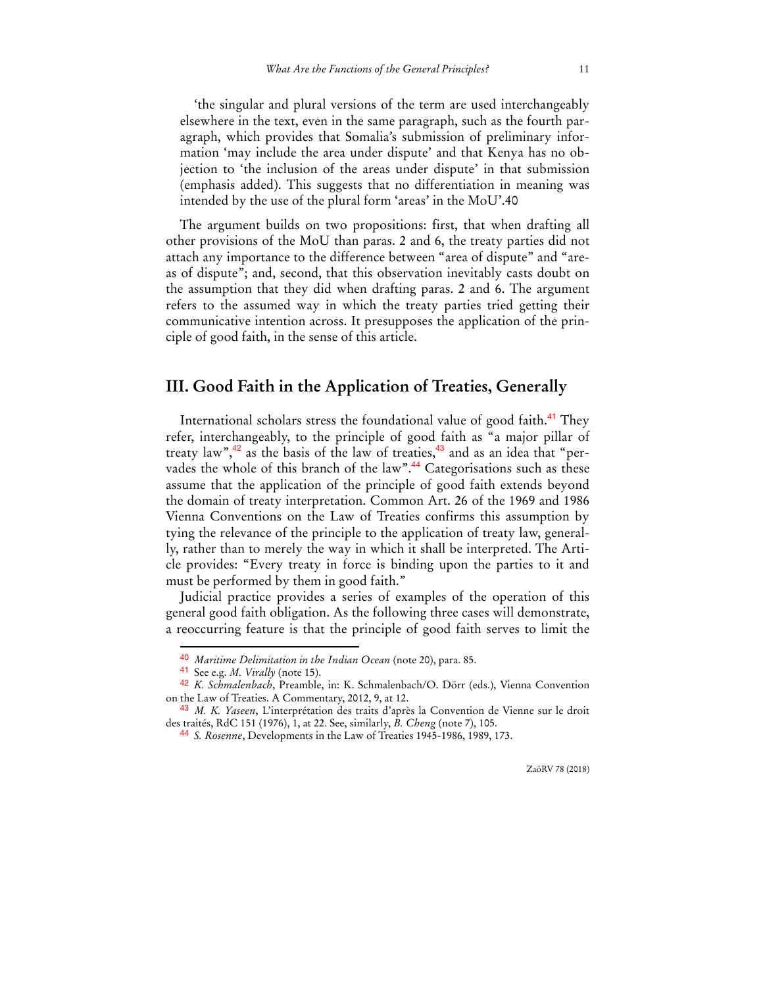'the singular and plural versions of the term are used interchangeably elsewhere in the text, even in the same paragraph, such as the fourth paragraph, which provides that Somalia's submission of preliminary information 'may include the area under dispute' and that Kenya has no objection to 'the inclusion of the areas under dispute' in that submission (emphasis added). This suggests that no differentiation in meaning was intended by the use of the plural form 'areas' in the MoU'.40

The argument builds on two propositions: first, that when drafting all other provisions of the MoU than paras. 2 and 6, the treaty parties did not attach any importance to the difference between "area of dispute" and "areas of dispute"; and, second, that this observation inevitably casts doubt on the assumption that they did when drafting paras. 2 and 6. The argument refers to the assumed way in which the treaty parties tried getting their communicative intention across. It presupposes the application of the principle of good faith, in the sense of this article.

## **III. Good Faith in the Application of Treaties, Generally**

International scholars stress the foundational value of good faith.<sup>41</sup> They refer, interchangeably, to the principle of good faith as "a major pillar of treaty law",<sup>42</sup> as the basis of the law of treaties,<sup>43</sup> and as an idea that "pervades the whole of this branch of the law".<sup>44</sup> Categorisations such as these assume that the application of the principle of good faith extends beyond the domain of treaty interpretation. Common Art. 26 of the 1969 and 1986 Vienna Conventions on the Law of Treaties confirms this assumption by tying the relevance of the principle to the application of treaty law, generally, rather than to merely the way in which it shall be interpreted. The Article provides: "Every treaty in force is binding upon the parties to it and must be performed by them in good faith."

Judicial practice provides a series of examples of the operation of this general good faith obligation. As the following three cases will demonstrate, a reoccurring feature is that the principle of good faith serves to limit the

<sup>40</sup> *Maritime Delimitation in the Indian Ocean* (note 20), para. 85.

<sup>41</sup> See e.g. *M. Virally* (note 15).

<sup>42</sup> *K. Schmalenbach*, Preamble, in: K. Schmalenbach/O. Dörr (eds.), Vienna Convention on the Law of Treaties. A Commentary, 2012, 9, at 12.

<sup>43</sup> *M. K. Yaseen*, L'interprétation des traits d'après la Convention de Vienne sur le droit des traités, RdC 151 (1976), 1, at 22. See, similarly, *B. Cheng* (note 7), 105.

<sup>44</sup> *S. Rosenne*, Developments in the Law of Treaties 1945-1986, 1989, 173.

ZaöRV 78 (2018)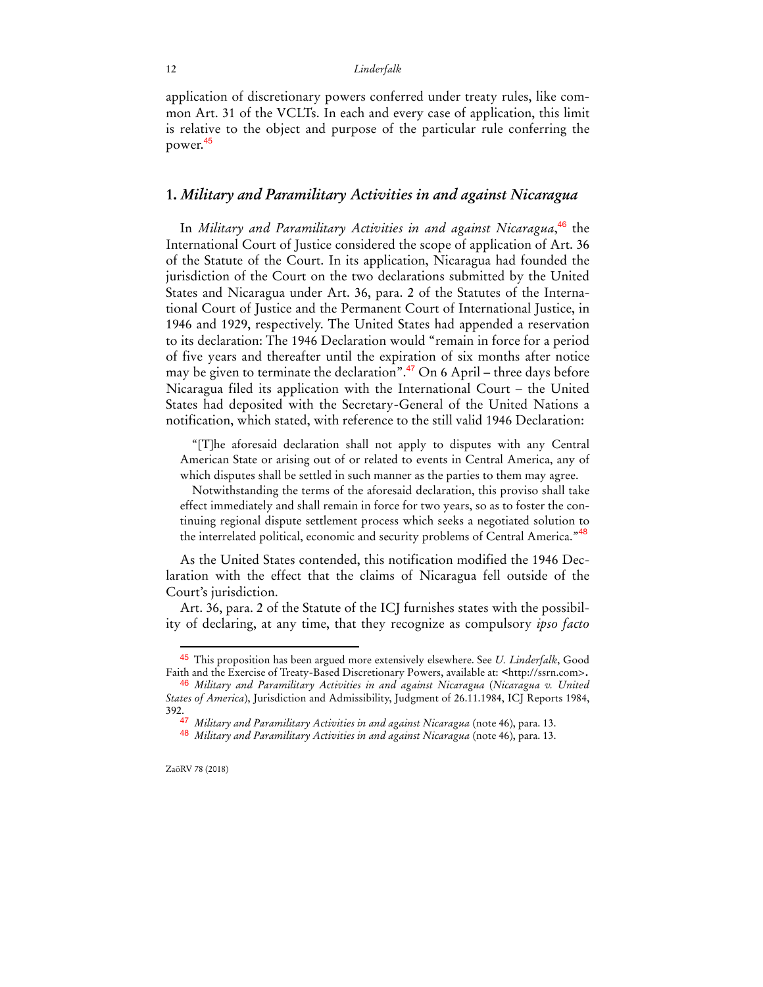application of discretionary powers conferred under treaty rules, like common Art. 31 of the VCLTs. In each and every case of application, this limit is relative to the object and purpose of the particular rule conferring the power.<sup>45</sup>

## **1.** *Military and Paramilitary Activities in and against Nicaragua*

In *Military and Paramilitary Activities in and against Nicaragua*, <sup>46</sup> the International Court of Justice considered the scope of application of Art. 36 of the Statute of the Court. In its application, Nicaragua had founded the jurisdiction of the Court on the two declarations submitted by the United States and Nicaragua under Art. 36, para. 2 of the Statutes of the International Court of Justice and the Permanent Court of International Justice, in 1946 and 1929, respectively. The United States had appended a reservation to its declaration: The 1946 Declaration would "remain in force for a period of five years and thereafter until the expiration of six months after notice may be given to terminate the declaration".<sup>47</sup> On 6 April – three days before Nicaragua filed its application with the International Court – the United States had deposited with the Secretary-General of the United Nations a notification, which stated, with reference to the still valid 1946 Declaration:

"[T]he aforesaid declaration shall not apply to disputes with any Central American State or arising out of or related to events in Central America, any of which disputes shall be settled in such manner as the parties to them may agree.

Notwithstanding the terms of the aforesaid declaration, this proviso shall take effect immediately and shall remain in force for two years, so as to foster the continuing regional dispute settlement process which seeks a negotiated solution to the interrelated political, economic and security problems of Central America."<sup>48</sup>

As the United States contended, this notification modified the 1946 Declaration with the effect that the claims of Nicaragua fell outside of the Court's jurisdiction.

Art. 36, para. 2 of the Statute of the ICJ furnishes states with the possibility of declaring, at any time, that they recognize as compulsory *ipso facto*

<sup>45</sup> This proposition has been argued more extensively elsewhere. See *U. Linderfalk*, Good Faith and the Exercise of Treaty-Based Discretionary Powers, available at: <http://ssrn.com>.

<sup>46</sup> *Military and Paramilitary Activities in and against Nicaragua* (*Nicaragua v. United States of America*), Jurisdiction and Admissibility, Judgment of 26.11.1984, ICJ Reports 1984, 392.

<sup>47</sup> *Military and Paramilitary Activities in and against Nicaragua* (note 46), para. 13.

<sup>48</sup> *Military and Paramilitary Activities in and against Nicaragua* (note 46), para. 13.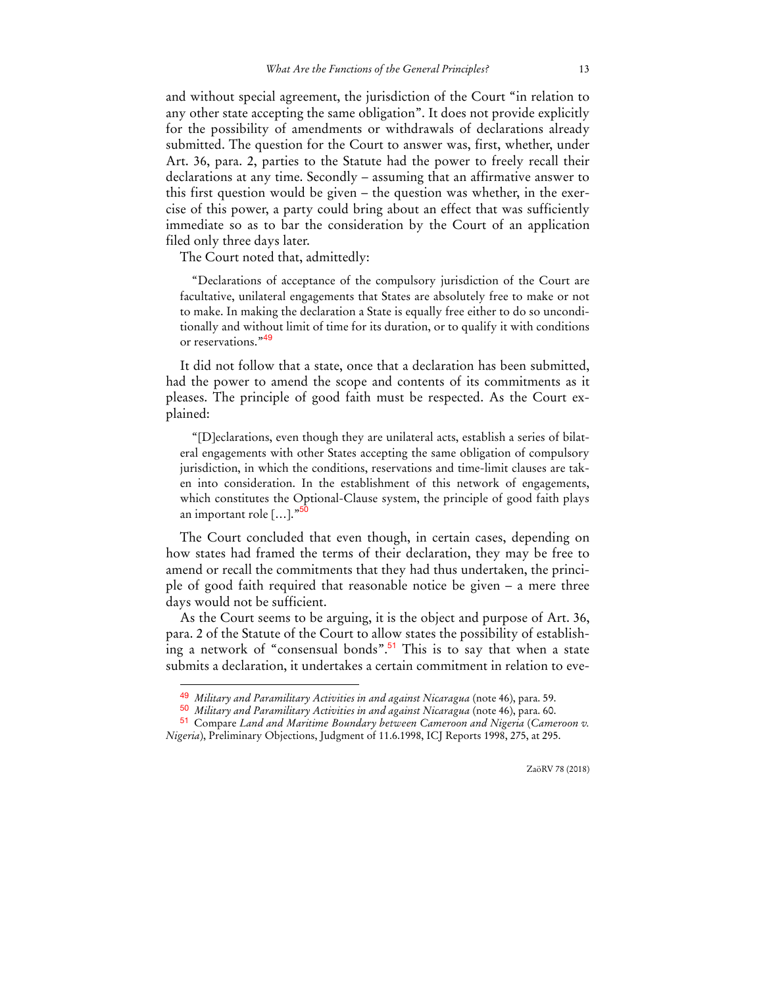and without special agreement, the jurisdiction of the Court "in relation to any other state accepting the same obligation". It does not provide explicitly for the possibility of amendments or withdrawals of declarations already submitted. The question for the Court to answer was, first, whether, under Art. 36, para. 2, parties to the Statute had the power to freely recall their declarations at any time. Secondly – assuming that an affirmative answer to this first question would be given – the question was whether, in the exercise of this power, a party could bring about an effect that was sufficiently immediate so as to bar the consideration by the Court of an application filed only three days later.

The Court noted that, admittedly:

 $\overline{a}$ 

"Declarations of acceptance of the compulsory jurisdiction of the Court are facultative, unilateral engagements that States are absolutely free to make or not to make. In making the declaration a State is equally free either to do so unconditionally and without limit of time for its duration, or to qualify it with conditions or reservations."<sup>49</sup>

It did not follow that a state, once that a declaration has been submitted, had the power to amend the scope and contents of its commitments as it pleases. The principle of good faith must be respected. As the Court explained:

"[D]eclarations, even though they are unilateral acts, establish a series of bilateral engagements with other States accepting the same obligation of compulsory jurisdiction, in which the conditions, reservations and time-limit clauses are taken into consideration. In the establishment of this network of engagements, which constitutes the Optional-Clause system, the principle of good faith plays an important role  $[\dots]$ ."

The Court concluded that even though, in certain cases, depending on how states had framed the terms of their declaration, they may be free to amend or recall the commitments that they had thus undertaken, the principle of good faith required that reasonable notice be given – a mere three days would not be sufficient.

As the Court seems to be arguing, it is the object and purpose of Art. 36, para. 2 of the Statute of the Court to allow states the possibility of establishing a network of "consensual bonds".<sup>51</sup> This is to say that when a state submits a declaration, it undertakes a certain commitment in relation to eve-

ZaöRV 78 (2018)

<sup>49</sup> *Military and Paramilitary Activities in and against Nicaragua* (note 46), para. 59.

<sup>50</sup> *Military and Paramilitary Activities in and against Nicaragua* (note 46), para. 60.

<sup>51</sup> Compare *Land and Maritime Boundary between Cameroon and Nigeria* (*Cameroon v. Nigeria*), Preliminary Objections, Judgment of 11.6.1998, ICJ Reports 1998, 275, at 295.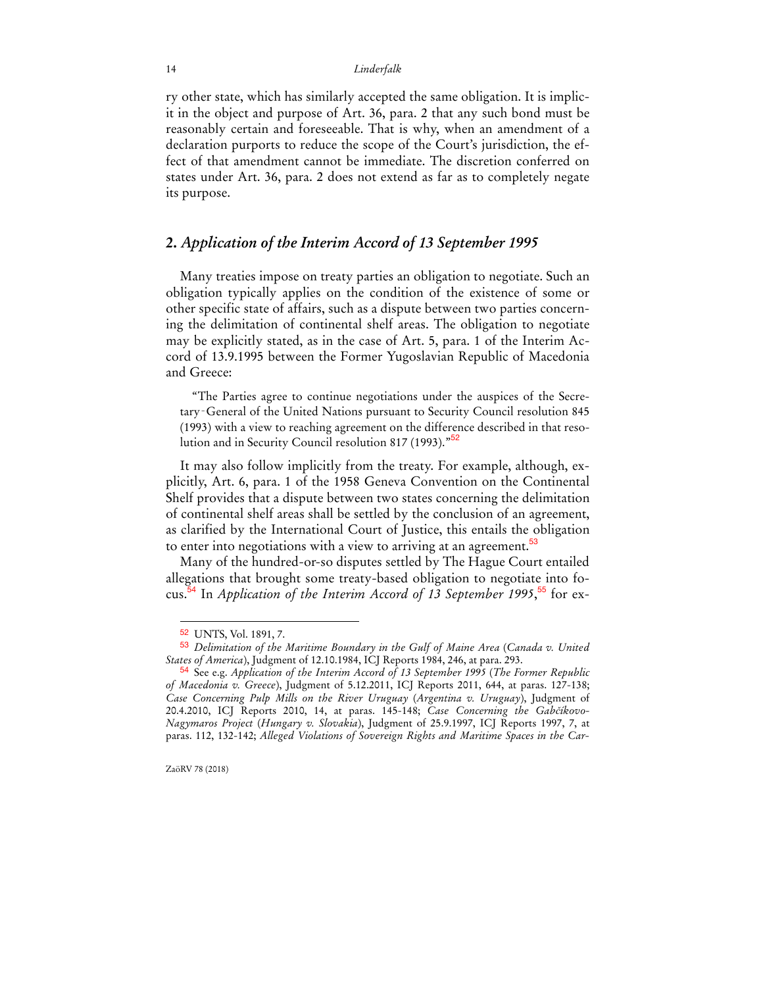ry other state, which has similarly accepted the same obligation. It is implicit in the object and purpose of Art. 36, para. 2 that any such bond must be reasonably certain and foreseeable. That is why, when an amendment of a declaration purports to reduce the scope of the Court's jurisdiction, the effect of that amendment cannot be immediate. The discretion conferred on states under Art. 36, para. 2 does not extend as far as to completely negate its purpose.

## **2.** *Application of the Interim Accord of 13 September 1995*

Many treaties impose on treaty parties an obligation to negotiate. Such an obligation typically applies on the condition of the existence of some or other specific state of affairs, such as a dispute between two parties concerning the delimitation of continental shelf areas. The obligation to negotiate may be explicitly stated, as in the case of Art. 5, para. 1 of the Interim Accord of 13.9.1995 between the Former Yugoslavian Republic of Macedonia and Greece:

"The Parties agree to continue negotiations under the auspices of the Secretary‑General of the United Nations pursuant to Security Council resolution 845 (1993) with a view to reaching agreement on the difference described in that resolution and in Security Council resolution 817 (1993)."<sup>52</sup>

It may also follow implicitly from the treaty. For example, although, explicitly, Art. 6, para. 1 of the 1958 Geneva Convention on the Continental Shelf provides that a dispute between two states concerning the delimitation of continental shelf areas shall be settled by the conclusion of an agreement, as clarified by the International Court of Justice, this entails the obligation to enter into negotiations with a view to arriving at an agreement.<sup>53</sup>

Many of the hundred-or-so disputes settled by The Hague Court entailed allegations that brought some treaty-based obligation to negotiate into focus.<sup>54</sup> In *Application of the Interim Accord of 13 September 1995*, <sup>55</sup> for ex-

<sup>52</sup> UNTS, Vol. 1891, 7.

<sup>53</sup> *Delimitation of the Maritime Boundary in the Gulf of Maine Area* (*Canada v. United States of America*), Judgment of 12.10.1984, ICJ Reports 1984, 246, at para. 293.

<sup>54</sup> See e.g. *Application of the Interim Accord of 13 September 1995* (*The Former Republic of Macedonia v. Greece*), Judgment of 5.12.2011, ICJ Reports 2011, 644, at paras. 127-138; *Case Concerning Pulp Mills on the River Uruguay* (*Argentina v. Uruguay*), Judgment of 20.4.2010, ICJ Reports 2010, 14, at paras. 145-148; *Case Concerning the Gabčíkovo-Nagymaros Project* (*Hungary v. Slovakia*), Judgment of 25.9.1997, ICJ Reports 1997, 7, at paras. 112, 132-142; *Alleged Violations of Sovereign Rights and Maritime Spaces in the Car-*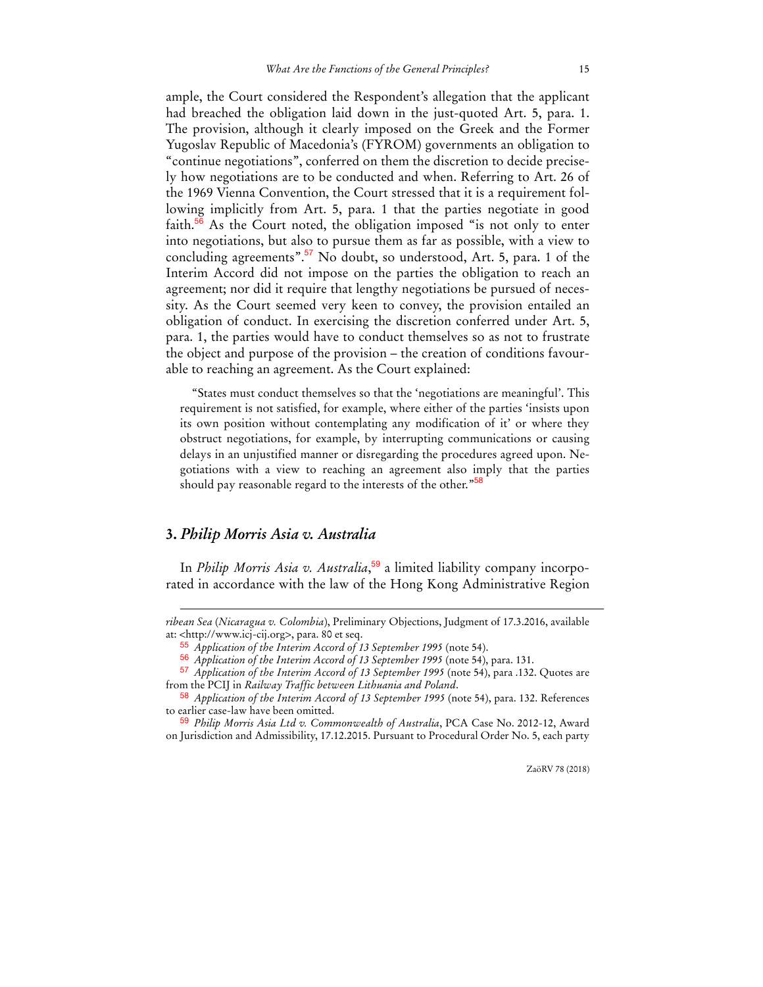ample, the Court considered the Respondent's allegation that the applicant had breached the obligation laid down in the just-quoted Art. 5, para. 1. The provision, although it clearly imposed on the Greek and the Former Yugoslav Republic of Macedonia's (FYROM) governments an obligation to "continue negotiations", conferred on them the discretion to decide precisely how negotiations are to be conducted and when. Referring to Art. 26 of the 1969 Vienna Convention, the Court stressed that it is a requirement following implicitly from Art. 5, para. 1 that the parties negotiate in good faith.<sup>56</sup> As the Court noted, the obligation imposed "is not only to enter into negotiations, but also to pursue them as far as possible, with a view to concluding agreements".<sup>57</sup> No doubt, so understood, Art. 5, para. 1 of the Interim Accord did not impose on the parties the obligation to reach an agreement; nor did it require that lengthy negotiations be pursued of necessity. As the Court seemed very keen to convey, the provision entailed an obligation of conduct. In exercising the discretion conferred under Art. 5, para. 1, the parties would have to conduct themselves so as not to frustrate the object and purpose of the provision – the creation of conditions favourable to reaching an agreement. As the Court explained:

"States must conduct themselves so that the 'negotiations are meaningful'. This requirement is not satisfied, for example, where either of the parties 'insists upon its own position without contemplating any modification of it' or where they obstruct negotiations, for example, by interrupting communications or causing delays in an unjustified manner or disregarding the procedures agreed upon. Negotiations with a view to reaching an agreement also imply that the parties should pay reasonable regard to the interests of the other."<sup>58</sup>

## **3.** *Philip Morris Asia v. Australia*

 $\overline{a}$ 

In *Philip Morris Asia v. Australia*, 59 a limited liability company incorporated in accordance with the law of the Hong Kong Administrative Region

*ribean Sea* (*Nicaragua v. Colombia*), Preliminary Objections, Judgment of 17.3.2016, available at: <http://www.icj-cij.org>, para. 80 et seq.

<sup>55</sup> *Application of the Interim Accord of 13 September 1995* (note 54).

<sup>56</sup> *Application of the Interim Accord of 13 September 1995* (note 54), para. 131.

<sup>57</sup> *Application of the Interim Accord of 13 September 1995* (note 54), para .132. Quotes are from the PCIJ in *Railway Traffic between Lithuania and Poland*.

<sup>58</sup> *Application of the Interim Accord of 13 September 1995* (note 54), para. 132. References to earlier case-law have been omitted.

<sup>59</sup> *Philip Morris Asia Ltd v. Commonwealth of Australia*, PCA Case No. 2012-12, Award on Jurisdiction and Admissibility, 17.12.2015. Pursuant to Procedural Order No. 5, each party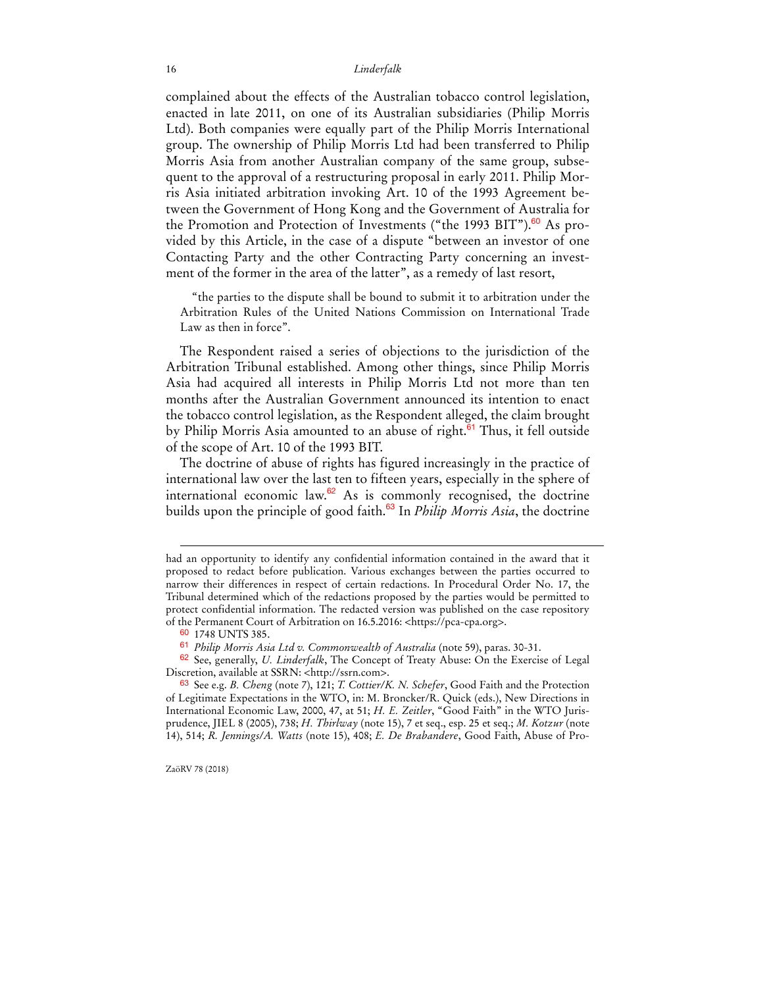complained about the effects of the Australian tobacco control legislation, enacted in late 2011, on one of its Australian subsidiaries (Philip Morris Ltd). Both companies were equally part of the Philip Morris International group. The ownership of Philip Morris Ltd had been transferred to Philip Morris Asia from another Australian company of the same group, subsequent to the approval of a restructuring proposal in early 2011. Philip Morris Asia initiated arbitration invoking Art. 10 of the 1993 Agreement between the Government of Hong Kong and the Government of Australia for the Promotion and Protection of Investments ("the 1993 BIT").<sup>60</sup> As provided by this Article, in the case of a dispute "between an investor of one Contacting Party and the other Contracting Party concerning an investment of the former in the area of the latter", as a remedy of last resort,

"the parties to the dispute shall be bound to submit it to arbitration under the Arbitration Rules of the United Nations Commission on International Trade Law as then in force".

The Respondent raised a series of objections to the jurisdiction of the Arbitration Tribunal established. Among other things, since Philip Morris Asia had acquired all interests in Philip Morris Ltd not more than ten months after the Australian Government announced its intention to enact the tobacco control legislation, as the Respondent alleged, the claim brought by Philip Morris Asia amounted to an abuse of right.<sup>61</sup> Thus, it fell outside of the scope of Art. 10 of the 1993 BIT.

The doctrine of abuse of rights has figured increasingly in the practice of international law over the last ten to fifteen years, especially in the sphere of international economic law.<sup>62</sup> As is commonly recognised, the doctrine builds upon the principle of good faith.<sup>63</sup> In *Philip Morris Asia*, the doctrine

ZaöRV 78 (2018)

had an opportunity to identify any confidential information contained in the award that it proposed to redact before publication. Various exchanges between the parties occurred to narrow their differences in respect of certain redactions. In Procedural Order No. 17, the Tribunal determined which of the redactions proposed by the parties would be permitted to protect confidential information. The redacted version was published on the case repository of the Permanent Court of Arbitration on 16.5.2016: <https://pca-cpa.org>.

<sup>60</sup> 1748 UNTS 385.

<sup>61</sup> *Philip Morris Asia Ltd v. Commonwealth of Australia* (note 59), paras. 30-31.

<sup>62</sup> See, generally, *U. Linderfalk*, The Concept of Treaty Abuse: On the Exercise of Legal Discretion, available at SSRN: <http://ssrn.com>.

<sup>63</sup> See e.g. *B. Cheng* (note 7), 121; *T. Cottier/K. N. Schefer*, Good Faith and the Protection of Legitimate Expectations in the WTO, in: M. Broncker/R. Quick (eds.), New Directions in International Economic Law, 2000, 47, at 51; *H. E. Zeitler*, "Good Faith" in the WTO Jurisprudence, JIEL 8 (2005), 738; *H. Thirlway* (note 15), 7 et seq., esp. 25 et seq.; *M. Kotzur* (note 14), 514; *R. Jennings/A. Watts* (note 15), 408; *E. De Brabandere*, Good Faith, Abuse of Pro-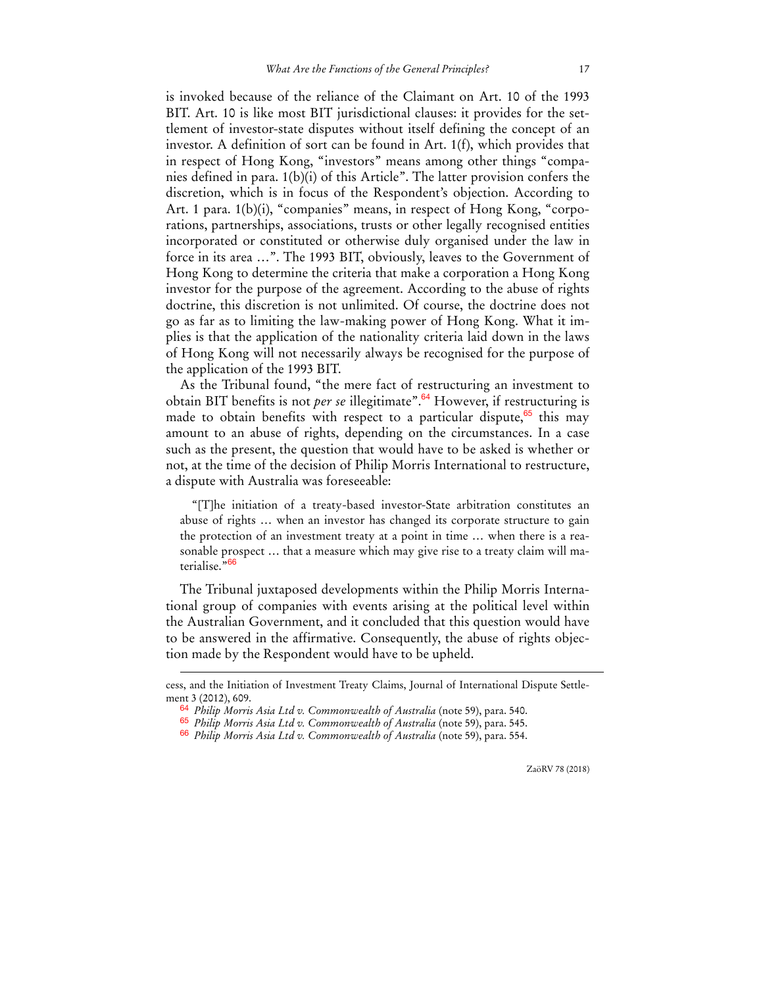is invoked because of the reliance of the Claimant on Art. 10 of the 1993 BIT. Art. 10 is like most BIT jurisdictional clauses: it provides for the settlement of investor-state disputes without itself defining the concept of an investor. A definition of sort can be found in Art. 1(f), which provides that in respect of Hong Kong, "investors" means among other things "companies defined in para. 1(b)(i) of this Article". The latter provision confers the discretion, which is in focus of the Respondent's objection. According to Art. 1 para. 1(b)(i), "companies" means, in respect of Hong Kong, "corporations, partnerships, associations, trusts or other legally recognised entities incorporated or constituted or otherwise duly organised under the law in force in its area …". The 1993 BIT, obviously, leaves to the Government of Hong Kong to determine the criteria that make a corporation a Hong Kong investor for the purpose of the agreement. According to the abuse of rights doctrine, this discretion is not unlimited. Of course, the doctrine does not go as far as to limiting the law-making power of Hong Kong. What it implies is that the application of the nationality criteria laid down in the laws of Hong Kong will not necessarily always be recognised for the purpose of the application of the 1993 BIT.

As the Tribunal found, "the mere fact of restructuring an investment to obtain BIT benefits is not *per se* illegitimate".<sup>64</sup> However, if restructuring is made to obtain benefits with respect to a particular dispute,  $65$  this may amount to an abuse of rights, depending on the circumstances. In a case such as the present, the question that would have to be asked is whether or not, at the time of the decision of Philip Morris International to restructure, a dispute with Australia was foreseeable:

"[T]he initiation of a treaty-based investor-State arbitration constitutes an abuse of rights … when an investor has changed its corporate structure to gain the protection of an investment treaty at a point in time … when there is a reasonable prospect … that a measure which may give rise to a treaty claim will materialise."<sup>66</sup>

The Tribunal juxtaposed developments within the Philip Morris International group of companies with events arising at the political level within the Australian Government, and it concluded that this question would have to be answered in the affirmative. Consequently, the abuse of rights objection made by the Respondent would have to be upheld.

cess, and the Initiation of Investment Treaty Claims, Journal of International Dispute Settlement 3 (2012), 609.

<sup>64</sup> *Philip Morris Asia Ltd v. Commonwealth of Australia* (note 59), para. 540.

<sup>65</sup> *Philip Morris Asia Ltd v. Commonwealth of Australia* (note 59), para. 545.

<sup>66</sup> *Philip Morris Asia Ltd v. Commonwealth of Australia* (note 59), para. 554.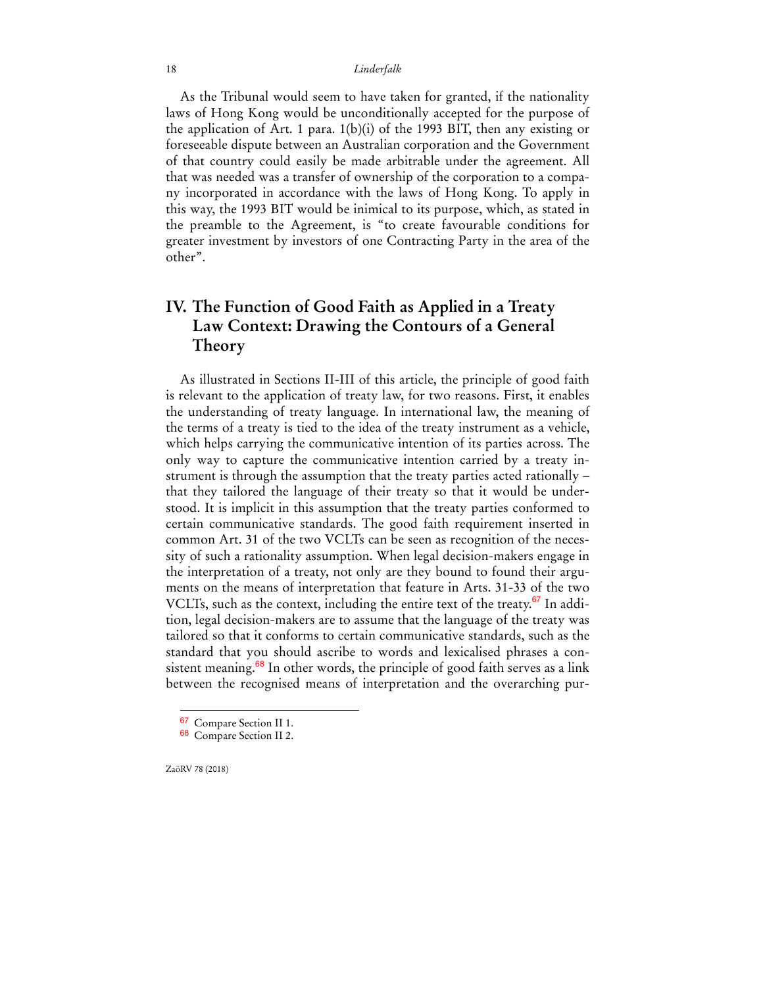As the Tribunal would seem to have taken for granted, if the nationality laws of Hong Kong would be unconditionally accepted for the purpose of the application of Art. 1 para. 1(b)(i) of the 1993 BIT, then any existing or foreseeable dispute between an Australian corporation and the Government of that country could easily be made arbitrable under the agreement. All that was needed was a transfer of ownership of the corporation to a company incorporated in accordance with the laws of Hong Kong. To apply in this way, the 1993 BIT would be inimical to its purpose, which, as stated in the preamble to the Agreement, is "to create favourable conditions for greater investment by investors of one Contracting Party in the area of the other".

# **IV. The Function of Good Faith as Applied in a Treaty Law Context: Drawing the Contours of a General Theory**

As illustrated in Sections II-III of this article, the principle of good faith is relevant to the application of treaty law, for two reasons. First, it enables the understanding of treaty language. In international law, the meaning of the terms of a treaty is tied to the idea of the treaty instrument as a vehicle, which helps carrying the communicative intention of its parties across. The only way to capture the communicative intention carried by a treaty instrument is through the assumption that the treaty parties acted rationally – that they tailored the language of their treaty so that it would be understood. It is implicit in this assumption that the treaty parties conformed to certain communicative standards. The good faith requirement inserted in common Art. 31 of the two VCLTs can be seen as recognition of the necessity of such a rationality assumption. When legal decision-makers engage in the interpretation of a treaty, not only are they bound to found their arguments on the means of interpretation that feature in Arts. 31-33 of the two VCLTs, such as the context, including the entire text of the treaty.<sup>67</sup> In addition, legal decision-makers are to assume that the language of the treaty was tailored so that it conforms to certain communicative standards, such as the standard that you should ascribe to words and lexicalised phrases a consistent meaning. $68$  In other words, the principle of good faith serves as a link between the recognised means of interpretation and the overarching pur-

ZaöRV 78 (2018)

 $\ddot{ }$ 

<sup>67</sup> Compare Section II 1.

<sup>68</sup> Compare Section II 2.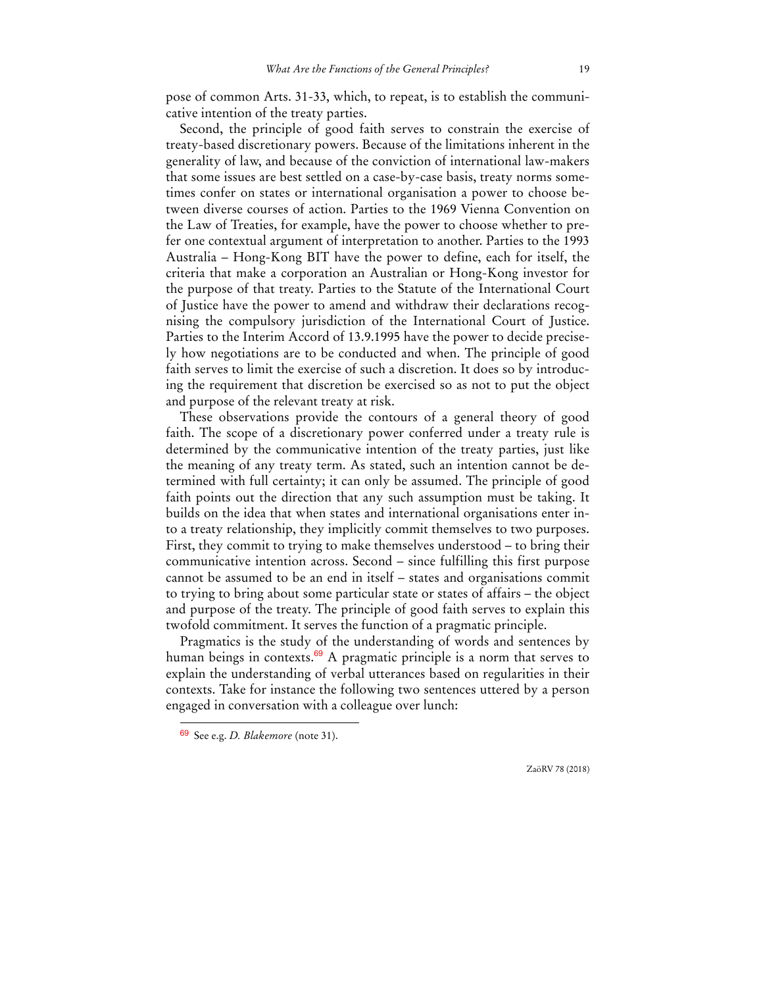pose of common Arts. 31-33, which, to repeat, is to establish the communicative intention of the treaty parties.

Second, the principle of good faith serves to constrain the exercise of treaty-based discretionary powers. Because of the limitations inherent in the generality of law, and because of the conviction of international law-makers that some issues are best settled on a case-by-case basis, treaty norms sometimes confer on states or international organisation a power to choose between diverse courses of action. Parties to the 1969 Vienna Convention on the Law of Treaties, for example, have the power to choose whether to prefer one contextual argument of interpretation to another. Parties to the 1993 Australia – Hong-Kong BIT have the power to define, each for itself, the criteria that make a corporation an Australian or Hong-Kong investor for the purpose of that treaty. Parties to the Statute of the International Court of Justice have the power to amend and withdraw their declarations recognising the compulsory jurisdiction of the International Court of Justice. Parties to the Interim Accord of 13.9.1995 have the power to decide precisely how negotiations are to be conducted and when. The principle of good faith serves to limit the exercise of such a discretion. It does so by introducing the requirement that discretion be exercised so as not to put the object and purpose of the relevant treaty at risk.

These observations provide the contours of a general theory of good faith. The scope of a discretionary power conferred under a treaty rule is determined by the communicative intention of the treaty parties, just like the meaning of any treaty term. As stated, such an intention cannot be determined with full certainty; it can only be assumed. The principle of good faith points out the direction that any such assumption must be taking. It builds on the idea that when states and international organisations enter into a treaty relationship, they implicitly commit themselves to two purposes. First, they commit to trying to make themselves understood – to bring their communicative intention across. Second – since fulfilling this first purpose cannot be assumed to be an end in itself – states and organisations commit to trying to bring about some particular state or states of affairs – the object and purpose of the treaty. The principle of good faith serves to explain this twofold commitment. It serves the function of a pragmatic principle.

Pragmatics is the study of the understanding of words and sentences by human beings in contexts.<sup>69</sup> A pragmatic principle is a norm that serves to explain the understanding of verbal utterances based on regularities in their contexts. Take for instance the following two sentences uttered by a person engaged in conversation with a colleague over lunch:

 $\ddot{ }$ 

<sup>69</sup> See e.g. *D. Blakemore* (note 31).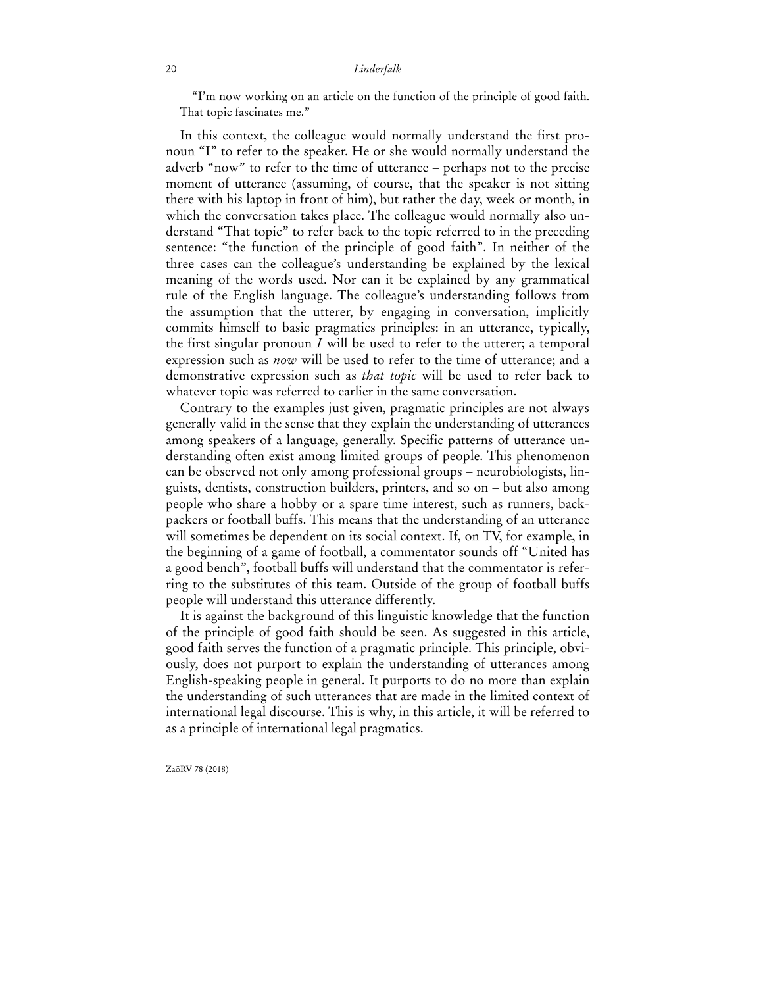"I'm now working on an article on the function of the principle of good faith. That topic fascinates me."

In this context, the colleague would normally understand the first pronoun "I" to refer to the speaker. He or she would normally understand the adverb "now" to refer to the time of utterance – perhaps not to the precise moment of utterance (assuming, of course, that the speaker is not sitting there with his laptop in front of him), but rather the day, week or month, in which the conversation takes place. The colleague would normally also understand "That topic" to refer back to the topic referred to in the preceding sentence: "the function of the principle of good faith". In neither of the three cases can the colleague's understanding be explained by the lexical meaning of the words used. Nor can it be explained by any grammatical rule of the English language. The colleague's understanding follows from the assumption that the utterer, by engaging in conversation, implicitly commits himself to basic pragmatics principles: in an utterance, typically, the first singular pronoun *I* will be used to refer to the utterer; a temporal expression such as *now* will be used to refer to the time of utterance; and a demonstrative expression such as *that topic* will be used to refer back to whatever topic was referred to earlier in the same conversation.

Contrary to the examples just given, pragmatic principles are not always generally valid in the sense that they explain the understanding of utterances among speakers of a language, generally. Specific patterns of utterance understanding often exist among limited groups of people. This phenomenon can be observed not only among professional groups – neurobiologists, linguists, dentists, construction builders, printers, and so on – but also among people who share a hobby or a spare time interest, such as runners, backpackers or football buffs. This means that the understanding of an utterance will sometimes be dependent on its social context. If, on TV, for example, in the beginning of a game of football, a commentator sounds off "United has a good bench", football buffs will understand that the commentator is referring to the substitutes of this team. Outside of the group of football buffs people will understand this utterance differently.

It is against the background of this linguistic knowledge that the function of the principle of good faith should be seen. As suggested in this article, good faith serves the function of a pragmatic principle. This principle, obviously, does not purport to explain the understanding of utterances among English-speaking people in general. It purports to do no more than explain the understanding of such utterances that are made in the limited context of international legal discourse. This is why, in this article, it will be referred to as a principle of international legal pragmatics.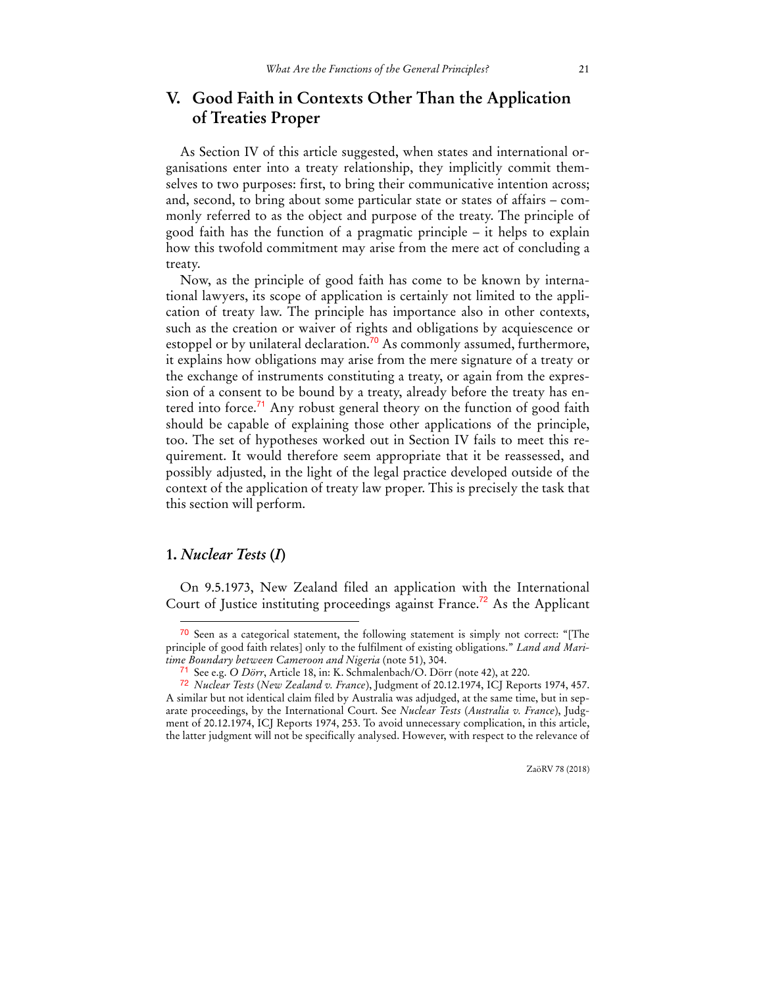# **V. Good Faith in Contexts Other Than the Application of Treaties Proper**

As Section IV of this article suggested, when states and international organisations enter into a treaty relationship, they implicitly commit themselves to two purposes: first, to bring their communicative intention across; and, second, to bring about some particular state or states of affairs – commonly referred to as the object and purpose of the treaty. The principle of good faith has the function of a pragmatic principle – it helps to explain how this twofold commitment may arise from the mere act of concluding a treaty.

Now, as the principle of good faith has come to be known by international lawyers, its scope of application is certainly not limited to the application of treaty law. The principle has importance also in other contexts, such as the creation or waiver of rights and obligations by acquiescence or estoppel or by unilateral declaration.<sup>70</sup> As commonly assumed, furthermore, it explains how obligations may arise from the mere signature of a treaty or the exchange of instruments constituting a treaty, or again from the expression of a consent to be bound by a treaty, already before the treaty has entered into force.<sup>71</sup> Any robust general theory on the function of good faith should be capable of explaining those other applications of the principle, too. The set of hypotheses worked out in Section IV fails to meet this requirement. It would therefore seem appropriate that it be reassessed, and possibly adjusted, in the light of the legal practice developed outside of the context of the application of treaty law proper. This is precisely the task that this section will perform.

## **1.** *Nuclear Tests* **(***I***)**

 $\overline{a}$ 

On 9.5.1973, New Zealand filed an application with the International Court of Justice instituting proceedings against France.<sup>72</sup> As the Applicant

<sup>70</sup> Seen as a categorical statement, the following statement is simply not correct: "[The principle of good faith relates] only to the fulfilment of existing obligations." *Land and Maritime Boundary between Cameroon and Nigeria* (note 51), 304.

<sup>71</sup> See e.g. *O Dörr*, Article 18, in: K. Schmalenbach/O. Dörr (note 42), at 220.

<sup>72</sup> *Nuclear Tests* (*New Zealand v. France*), Judgment of 20.12.1974, ICJ Reports 1974, 457. A similar but not identical claim filed by Australia was adjudged, at the same time, but in separate proceedings, by the International Court. See *Nuclear Tests* (*Australia v. France*), Judgment of 20.12.1974, ICJ Reports 1974, 253. To avoid unnecessary complication, in this article, the latter judgment will not be specifically analysed. However, with respect to the relevance of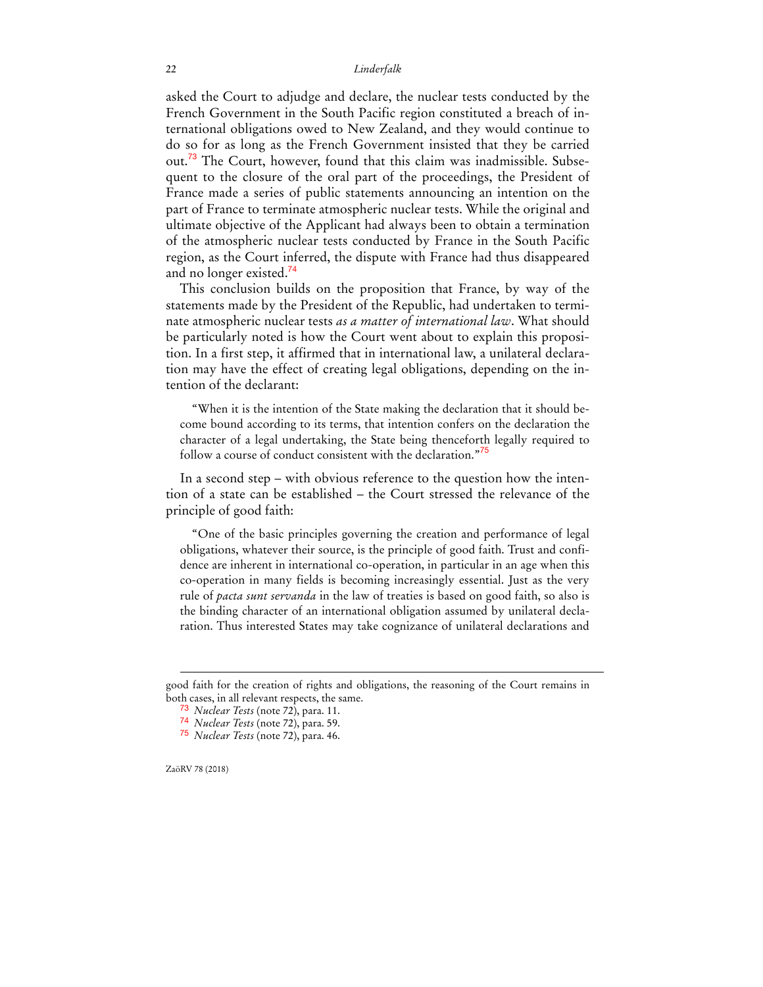asked the Court to adjudge and declare, the nuclear tests conducted by the French Government in the South Pacific region constituted a breach of international obligations owed to New Zealand, and they would continue to do so for as long as the French Government insisted that they be carried out.<sup>73</sup> The Court, however, found that this claim was inadmissible. Subsequent to the closure of the oral part of the proceedings, the President of France made a series of public statements announcing an intention on the part of France to terminate atmospheric nuclear tests. While the original and ultimate objective of the Applicant had always been to obtain a termination of the atmospheric nuclear tests conducted by France in the South Pacific region, as the Court inferred, the dispute with France had thus disappeared and no longer existed.<sup>74</sup>

This conclusion builds on the proposition that France, by way of the statements made by the President of the Republic, had undertaken to terminate atmospheric nuclear tests *as a matter of international law*. What should be particularly noted is how the Court went about to explain this proposition. In a first step, it affirmed that in international law, a unilateral declaration may have the effect of creating legal obligations, depending on the intention of the declarant:

"When it is the intention of the State making the declaration that it should become bound according to its terms, that intention confers on the declaration the character of a legal undertaking, the State being thenceforth legally required to follow a course of conduct consistent with the declaration."<sup>75</sup>

In a second step – with obvious reference to the question how the intention of a state can be established – the Court stressed the relevance of the principle of good faith:

"One of the basic principles governing the creation and performance of legal obligations, whatever their source, is the principle of good faith. Trust and confidence are inherent in international co-operation, in particular in an age when this co-operation in many fields is becoming increasingly essential. Just as the very rule of *pacta sunt servanda* in the law of treaties is based on good faith, so also is the binding character of an international obligation assumed by unilateral declaration. Thus interested States may take cognizance of unilateral declarations and

ZaöRV 78 (2018)

good faith for the creation of rights and obligations, the reasoning of the Court remains in both cases, in all relevant respects, the same.

<sup>73</sup> *Nuclear Tests* (note 72), para. 11.

<sup>74</sup> *Nuclear Tests* (note 72), para. 59.

<sup>75</sup> *Nuclear Tests* (note 72), para. 46.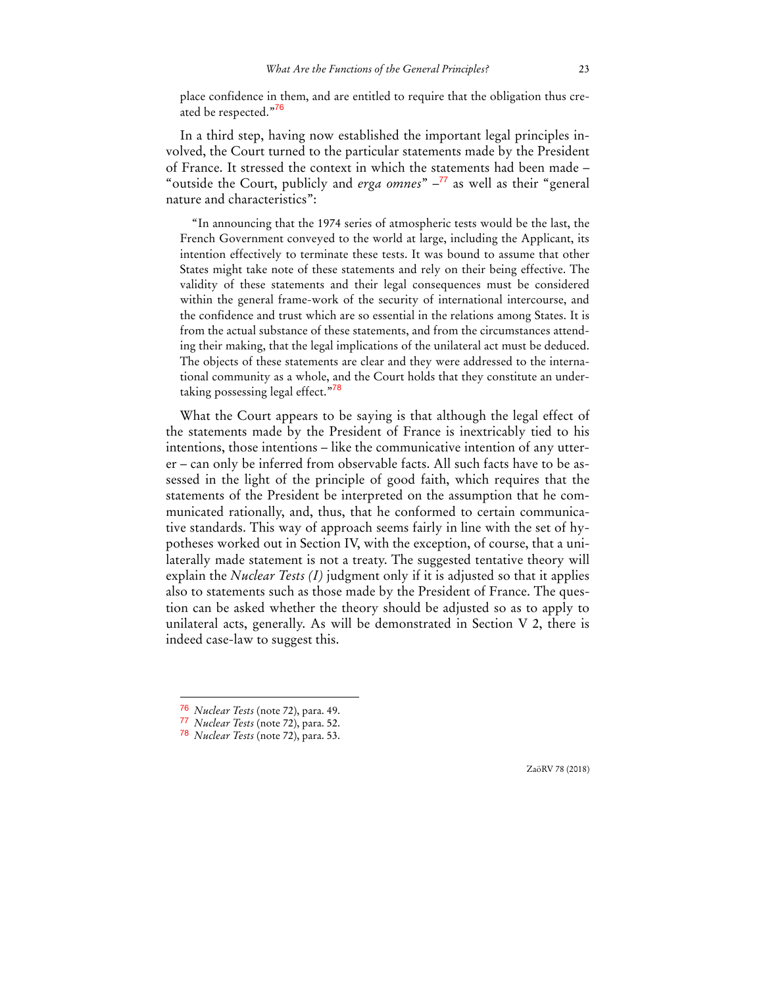place confidence in them, and are entitled to require that the obligation thus created be respected."<sup>6</sup>

In a third step, having now established the important legal principles involved, the Court turned to the particular statements made by the President of France. It stressed the context in which the statements had been made – "outside the Court, publicly and *erga omnes*" -<sup>77</sup> as well as their "general nature and characteristics":

"In announcing that the 1974 series of atmospheric tests would be the last, the French Government conveyed to the world at large, including the Applicant, its intention effectively to terminate these tests. It was bound to assume that other States might take note of these statements and rely on their being effective. The validity of these statements and their legal consequences must be considered within the general frame-work of the security of international intercourse, and the confidence and trust which are so essential in the relations among States. It is from the actual substance of these statements, and from the circumstances attending their making, that the legal implications of the unilateral act must be deduced. The objects of these statements are clear and they were addressed to the international community as a whole, and the Court holds that they constitute an undertaking possessing legal effect."<sup>78</sup>

What the Court appears to be saying is that although the legal effect of the statements made by the President of France is inextricably tied to his intentions, those intentions – like the communicative intention of any utterer – can only be inferred from observable facts. All such facts have to be assessed in the light of the principle of good faith, which requires that the statements of the President be interpreted on the assumption that he communicated rationally, and, thus, that he conformed to certain communicative standards. This way of approach seems fairly in line with the set of hypotheses worked out in Section IV, with the exception, of course, that a unilaterally made statement is not a treaty. The suggested tentative theory will explain the *Nuclear Tests (I)* judgment only if it is adjusted so that it applies also to statements such as those made by the President of France. The question can be asked whether the theory should be adjusted so as to apply to unilateral acts, generally. As will be demonstrated in Section V 2, there is indeed case-law to suggest this.

 $\overline{a}$ 

<sup>76</sup> *Nuclear Tests* (note 72), para. 49.

<sup>77</sup> *Nuclear Tests* (note 72), para. 52.

<sup>78</sup> *Nuclear Tests* (note 72), para. 53.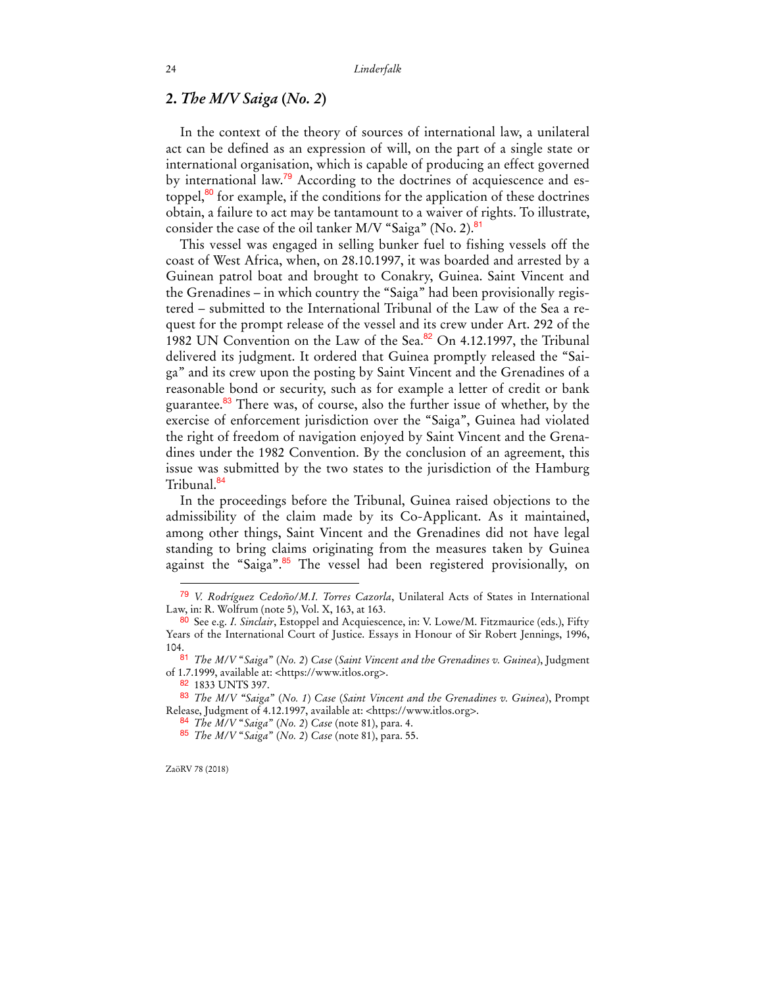## **2.** *The M/V Saiga* **(***No. 2***)**

In the context of the theory of sources of international law, a unilateral act can be defined as an expression of will, on the part of a single state or international organisation, which is capable of producing an effect governed by international law.<sup>79</sup> According to the doctrines of acquiescence and estoppel, $80$  for example, if the conditions for the application of these doctrines obtain, a failure to act may be tantamount to a waiver of rights. To illustrate, consider the case of the oil tanker M/V "Saiga" (No. 2). $81$ 

This vessel was engaged in selling bunker fuel to fishing vessels off the coast of West Africa, when, on 28.10.1997, it was boarded and arrested by a Guinean patrol boat and brought to Conakry, Guinea. Saint Vincent and the Grenadines – in which country the "Saiga" had been provisionally registered – submitted to the International Tribunal of the Law of the Sea a request for the prompt release of the vessel and its crew under Art. 292 of the 1982 UN Convention on the Law of the Sea.<sup>82</sup> On 4.12.1997, the Tribunal delivered its judgment. It ordered that Guinea promptly released the "Saiga" and its crew upon the posting by Saint Vincent and the Grenadines of a reasonable bond or security, such as for example a letter of credit or bank guarantee.<sup>83</sup> There was, of course, also the further issue of whether, by the exercise of enforcement jurisdiction over the "Saiga", Guinea had violated the right of freedom of navigation enjoyed by Saint Vincent and the Grenadines under the 1982 Convention. By the conclusion of an agreement, this issue was submitted by the two states to the jurisdiction of the Hamburg Tribunal.<sup>84</sup>

In the proceedings before the Tribunal, Guinea raised objections to the admissibility of the claim made by its Co-Applicant. As it maintained, among other things, Saint Vincent and the Grenadines did not have legal standing to bring claims originating from the measures taken by Guinea against the "Saiga".<sup>85</sup> The vessel had been registered provisionally, on

ZaöRV 78 (2018)

<sup>79</sup> *V. Rodríguez Cedoño/M.I. Torres Cazorla*, Unilateral Acts of States in International Law, in: R. Wolfrum (note 5), Vol. X, 163, at 163.

<sup>80</sup> See e.g. *I. Sinclair*, Estoppel and Acquiescence, in: V. Lowe/M. Fitzmaurice (eds.), Fifty Years of the International Court of Justice. Essays in Honour of Sir Robert Jennings, 1996, 104.

<sup>81</sup> *The M/V* "*Saiga*" (*No. 2*) *Case* (*Saint Vincent and the Grenadines v. Guinea*), Judgment of 1.7.1999, available at: <https://www.itlos.org>.

<sup>82</sup> 1833 UNTS 397.

<sup>83</sup> *The M/V "Saiga*" (*No. 1*) *Case* (*Saint Vincent and the Grenadines v. Guinea*), Prompt Release, Judgment of 4.12.1997, available at: <https://www.itlos.org>.

<sup>84</sup> *The M/V* "*Saiga*" (*No. 2*) *Case* (note 81), para. 4.

<sup>85</sup> *The M/V* "*Saiga*" (*No. 2*) *Case* (note 81), para. 55.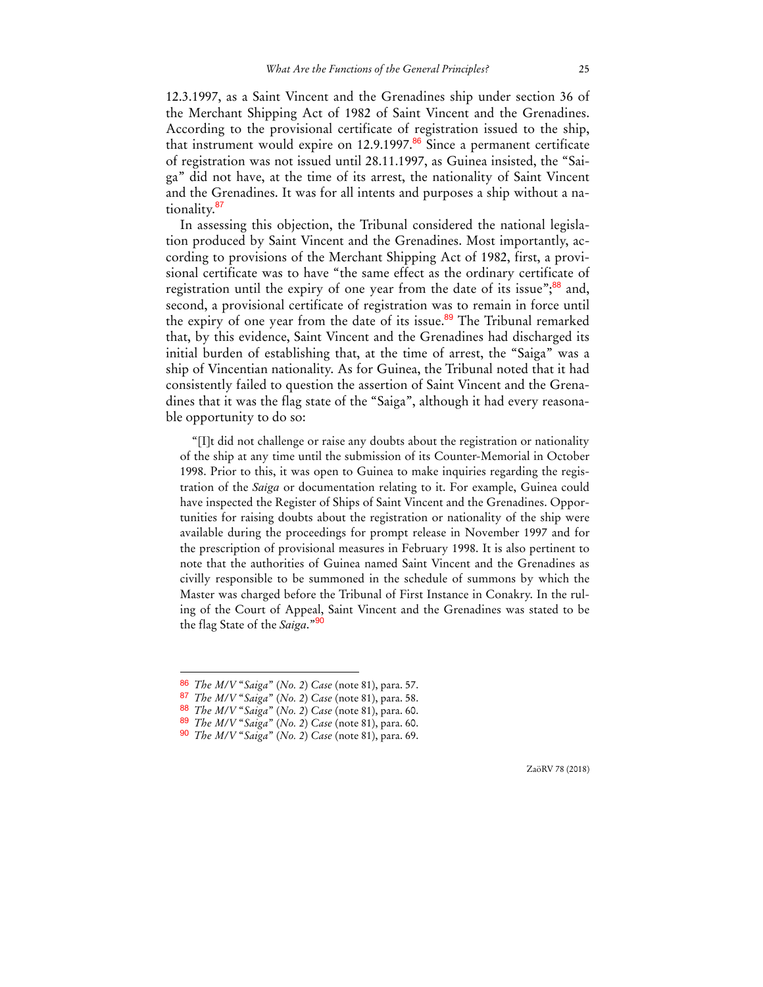12.3.1997, as a Saint Vincent and the Grenadines ship under section 36 of the Merchant Shipping Act of 1982 of Saint Vincent and the Grenadines. According to the provisional certificate of registration issued to the ship, that instrument would expire on  $12.9.1997$ .<sup>86</sup> Since a permanent certificate of registration was not issued until 28.11.1997, as Guinea insisted, the "Saiga" did not have, at the time of its arrest, the nationality of Saint Vincent and the Grenadines. It was for all intents and purposes a ship without a nationality.<sup>87</sup>

In assessing this objection, the Tribunal considered the national legislation produced by Saint Vincent and the Grenadines. Most importantly, according to provisions of the Merchant Shipping Act of 1982, first, a provisional certificate was to have "the same effect as the ordinary certificate of registration until the expiry of one year from the date of its issue"; $88$  and, second, a provisional certificate of registration was to remain in force until the expiry of one year from the date of its issue.<sup>89</sup> The Tribunal remarked that, by this evidence, Saint Vincent and the Grenadines had discharged its initial burden of establishing that, at the time of arrest, the "Saiga" was a ship of Vincentian nationality. As for Guinea, the Tribunal noted that it had consistently failed to question the assertion of Saint Vincent and the Grenadines that it was the flag state of the "Saiga", although it had every reasonable opportunity to do so:

"[I]t did not challenge or raise any doubts about the registration or nationality of the ship at any time until the submission of its Counter-Memorial in October 1998. Prior to this, it was open to Guinea to make inquiries regarding the registration of the *Saiga* or documentation relating to it. For example, Guinea could have inspected the Register of Ships of Saint Vincent and the Grenadines. Opportunities for raising doubts about the registration or nationality of the ship were available during the proceedings for prompt release in November 1997 and for the prescription of provisional measures in February 1998. It is also pertinent to note that the authorities of Guinea named Saint Vincent and the Grenadines as civilly responsible to be summoned in the schedule of summons by which the Master was charged before the Tribunal of First Instance in Conakry. In the ruling of the Court of Appeal, Saint Vincent and the Grenadines was stated to be the flag State of the *Saiga*."<sup>90</sup>

 $\overline{a}$ 

<sup>86</sup> *The M/V* "*Saiga*" (*No. 2*) *Case* (note 81), para. 57.

<sup>87</sup> *The M/V* "*Saiga*" (*No. 2*) *Case* (note 81), para. 58.

<sup>88</sup> *The M/V* "*Saiga*" (*No. 2*) *Case* (note 81), para. 60.

<sup>89</sup> *The M/V* "*Saiga*" (*No. 2*) *Case* (note 81), para. 60.

<sup>90</sup> *The M/V* "*Saiga*" (*No. 2*) *Case* (note 81), para. 69.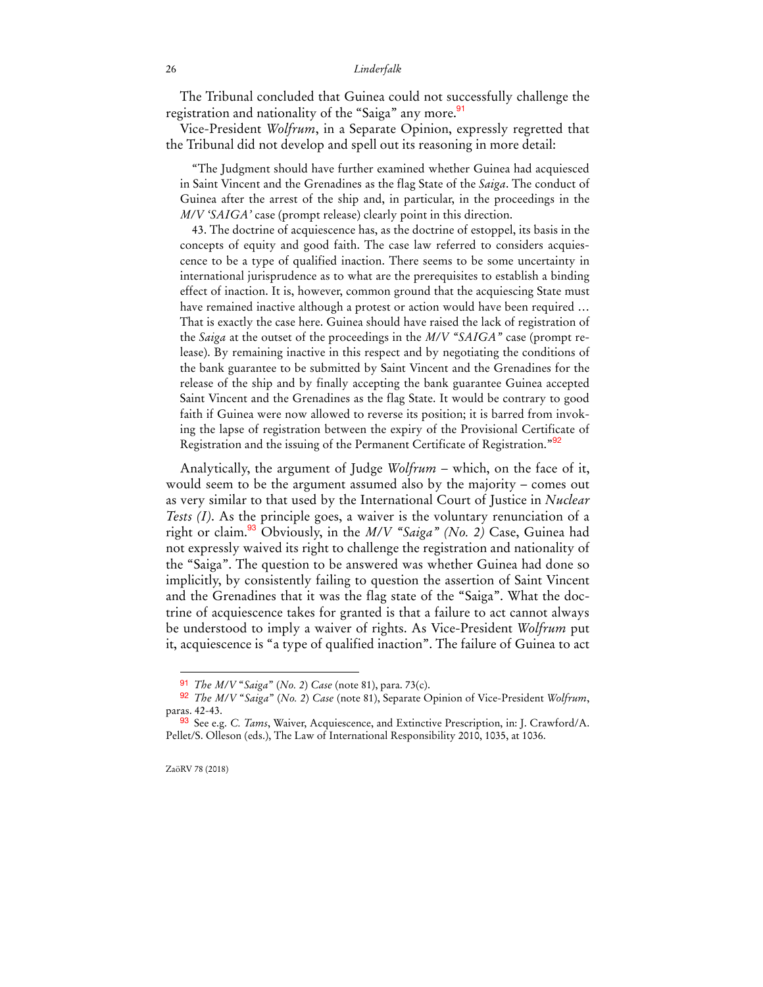The Tribunal concluded that Guinea could not successfully challenge the registration and nationality of the "Saiga" any more.<sup>91</sup>

Vice-President *Wolfrum*, in a Separate Opinion, expressly regretted that the Tribunal did not develop and spell out its reasoning in more detail:

"The Judgment should have further examined whether Guinea had acquiesced in Saint Vincent and the Grenadines as the flag State of the *Saiga*. The conduct of Guinea after the arrest of the ship and, in particular, in the proceedings in the *M/V 'SAIGA'* case (prompt release) clearly point in this direction.

43. The doctrine of acquiescence has, as the doctrine of estoppel, its basis in the concepts of equity and good faith. The case law referred to considers acquiescence to be a type of qualified inaction. There seems to be some uncertainty in international jurisprudence as to what are the prerequisites to establish a binding effect of inaction. It is, however, common ground that the acquiescing State must have remained inactive although a protest or action would have been required … That is exactly the case here. Guinea should have raised the lack of registration of the *Saiga* at the outset of the proceedings in the *M/V "SAIGA"* case (prompt release). By remaining inactive in this respect and by negotiating the conditions of the bank guarantee to be submitted by Saint Vincent and the Grenadines for the release of the ship and by finally accepting the bank guarantee Guinea accepted Saint Vincent and the Grenadines as the flag State. It would be contrary to good faith if Guinea were now allowed to reverse its position; it is barred from invoking the lapse of registration between the expiry of the Provisional Certificate of Registration and the issuing of the Permanent Certificate of Registration."<sup>92</sup>

Analytically, the argument of Judge *Wolfrum* – which, on the face of it, would seem to be the argument assumed also by the majority – comes out as very similar to that used by the International Court of Justice in *Nuclear Tests (I)*. As the principle goes, a waiver is the voluntary renunciation of a right or claim.<sup>93</sup> Obviously, in the *M/V "Saiga" (No. 2)* Case, Guinea had not expressly waived its right to challenge the registration and nationality of the "Saiga". The question to be answered was whether Guinea had done so implicitly, by consistently failing to question the assertion of Saint Vincent and the Grenadines that it was the flag state of the "Saiga". What the doctrine of acquiescence takes for granted is that a failure to act cannot always be understood to imply a waiver of rights. As Vice-President *Wolfrum* put it, acquiescence is "a type of qualified inaction". The failure of Guinea to act

ZaöRV 78 (2018)

<sup>91</sup> *The M/V* "*Saiga*" (*No. 2*) *Case* (note 81), para. 73(c).

<sup>92</sup> *The M/V* "*Saiga*" (*No. 2*) *Case* (note 81), Separate Opinion of Vice-President *Wolfrum*, paras. 42-43.

<sup>93</sup> See e.g. *C. Tams*, Waiver, Acquiescence, and Extinctive Prescription, in: J. Crawford/A. Pellet/S. Olleson (eds.), The Law of International Responsibility 2010, 1035, at 1036.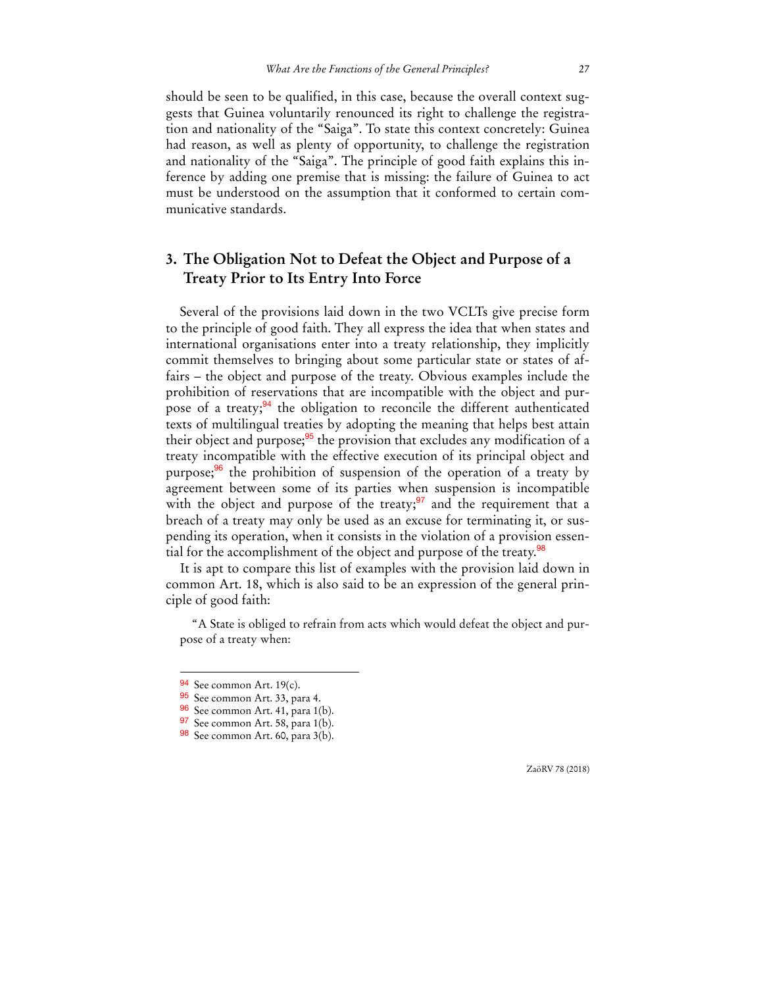should be seen to be qualified, in this case, because the overall context suggests that Guinea voluntarily renounced its right to challenge the registration and nationality of the "Saiga". To state this context concretely: Guinea had reason, as well as plenty of opportunity, to challenge the registration and nationality of the "Saiga". The principle of good faith explains this inference by adding one premise that is missing: the failure of Guinea to act must be understood on the assumption that it conformed to certain communicative standards.

# **3. The Obligation Not to Defeat the Object and Purpose of a Treaty Prior to Its Entry Into Force**

Several of the provisions laid down in the two VCLTs give precise form to the principle of good faith. They all express the idea that when states and international organisations enter into a treaty relationship, they implicitly commit themselves to bringing about some particular state or states of affairs – the object and purpose of the treaty. Obvious examples include the prohibition of reservations that are incompatible with the object and purpose of a treaty; $94$  the obligation to reconcile the different authenticated texts of multilingual treaties by adopting the meaning that helps best attain their object and purpose;<sup>95</sup> the provision that excludes any modification of a treaty incompatible with the effective execution of its principal object and purpose; $96$  the prohibition of suspension of the operation of a treaty by agreement between some of its parties when suspension is incompatible with the object and purpose of the treaty; $\frac{97}{7}$  and the requirement that a breach of a treaty may only be used as an excuse for terminating it, or suspending its operation, when it consists in the violation of a provision essential for the accomplishment of the object and purpose of the treaty.<sup>98</sup>

It is apt to compare this list of examples with the provision laid down in common Art. 18, which is also said to be an expression of the general principle of good faith:

 $\overline{a}$ 

<sup>&</sup>quot;A State is obliged to refrain from acts which would defeat the object and purpose of a treaty when:

<sup>94</sup> See common Art. 19(c).

<sup>95</sup> See common Art. 33, para 4.

<sup>96</sup> See common Art. 41, para 1(b).

<sup>97</sup> See common Art. 58, para 1(b).

<sup>98</sup> See common Art. 60, para 3(b).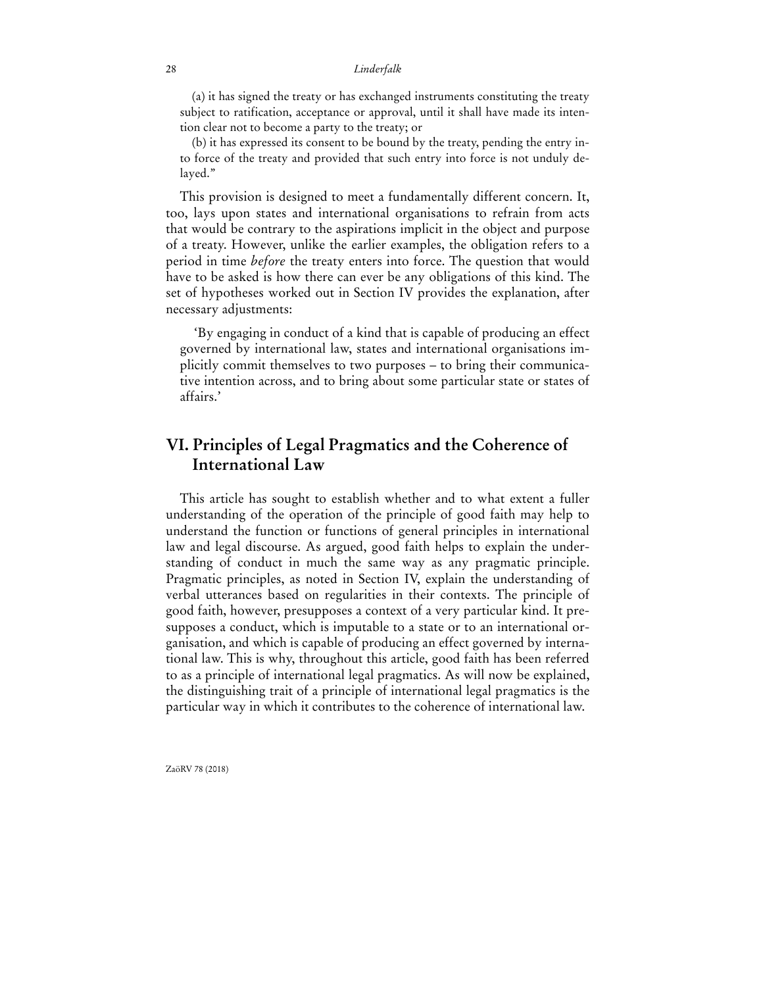(a) it has signed the treaty or has exchanged instruments constituting the treaty subject to ratification, acceptance or approval, until it shall have made its intention clear not to become a party to the treaty; or

(b) it has expressed its consent to be bound by the treaty, pending the entry into force of the treaty and provided that such entry into force is not unduly delayed."

This provision is designed to meet a fundamentally different concern. It, too, lays upon states and international organisations to refrain from acts that would be contrary to the aspirations implicit in the object and purpose of a treaty. However, unlike the earlier examples, the obligation refers to a period in time *before* the treaty enters into force. The question that would have to be asked is how there can ever be any obligations of this kind. The set of hypotheses worked out in Section IV provides the explanation, after necessary adjustments:

'By engaging in conduct of a kind that is capable of producing an effect governed by international law, states and international organisations implicitly commit themselves to two purposes – to bring their communicative intention across, and to bring about some particular state or states of affairs.'

# **VI. Principles of Legal Pragmatics and the Coherence of International Law**

This article has sought to establish whether and to what extent a fuller understanding of the operation of the principle of good faith may help to understand the function or functions of general principles in international law and legal discourse. As argued, good faith helps to explain the understanding of conduct in much the same way as any pragmatic principle. Pragmatic principles, as noted in Section IV, explain the understanding of verbal utterances based on regularities in their contexts. The principle of good faith, however, presupposes a context of a very particular kind. It presupposes a conduct, which is imputable to a state or to an international organisation, and which is capable of producing an effect governed by international law. This is why, throughout this article, good faith has been referred to as a principle of international legal pragmatics. As will now be explained, the distinguishing trait of a principle of international legal pragmatics is the particular way in which it contributes to the coherence of international law.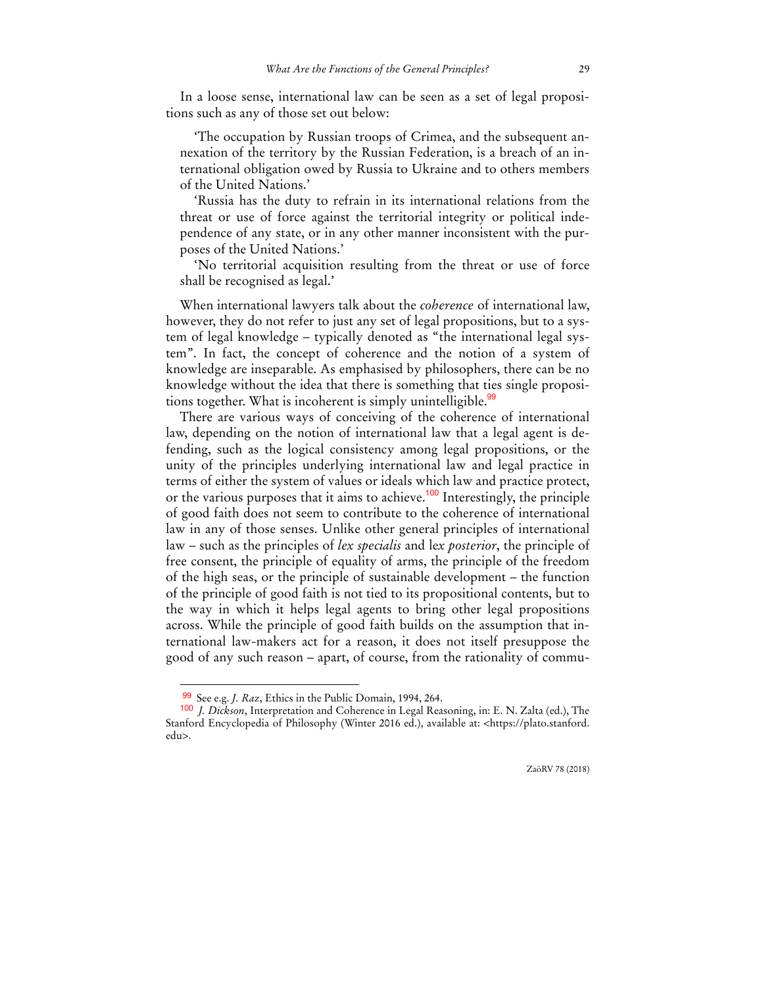In a loose sense, international law can be seen as a set of legal propositions such as any of those set out below:

'The occupation by Russian troops of Crimea, and the subsequent annexation of the territory by the Russian Federation, is a breach of an international obligation owed by Russia to Ukraine and to others members of the United Nations.'

'Russia has the duty to refrain in its international relations from the threat or use of force against the territorial integrity or political independence of any state, or in any other manner inconsistent with the purposes of the United Nations.'

'No territorial acquisition resulting from the threat or use of force shall be recognised as legal.'

When international lawyers talk about the *coherence* of international law, however, they do not refer to just any set of legal propositions, but to a system of legal knowledge – typically denoted as "the international legal system". In fact, the concept of coherence and the notion of a system of knowledge are inseparable. As emphasised by philosophers, there can be no knowledge without the idea that there is something that ties single propositions together. What is incoherent is simply unintelligible.<sup>99</sup>

There are various ways of conceiving of the coherence of international law, depending on the notion of international law that a legal agent is defending, such as the logical consistency among legal propositions, or the unity of the principles underlying international law and legal practice in terms of either the system of values or ideals which law and practice protect, or the various purposes that it aims to achieve.<sup>100</sup> Interestingly, the principle of good faith does not seem to contribute to the coherence of international law in any of those senses. Unlike other general principles of international law – such as the principles of *lex specialis* and le*x posterior*, the principle of free consent, the principle of equality of arms, the principle of the freedom of the high seas, or the principle of sustainable development – the function of the principle of good faith is not tied to its propositional contents, but to the way in which it helps legal agents to bring other legal propositions across. While the principle of good faith builds on the assumption that international law-makers act for a reason, it does not itself presuppose the good of any such reason – apart, of course, from the rationality of commu-

<sup>99</sup> See e.g. *J. Raz*, Ethics in the Public Domain, 1994, 264.

<sup>100</sup> *J. Dickson*, Interpretation and Coherence in Legal Reasoning, in: E. N. Zalta (ed.), The Stanford Encyclopedia of Philosophy (Winter 2016 ed.), available at: <https://plato.stanford. edu>.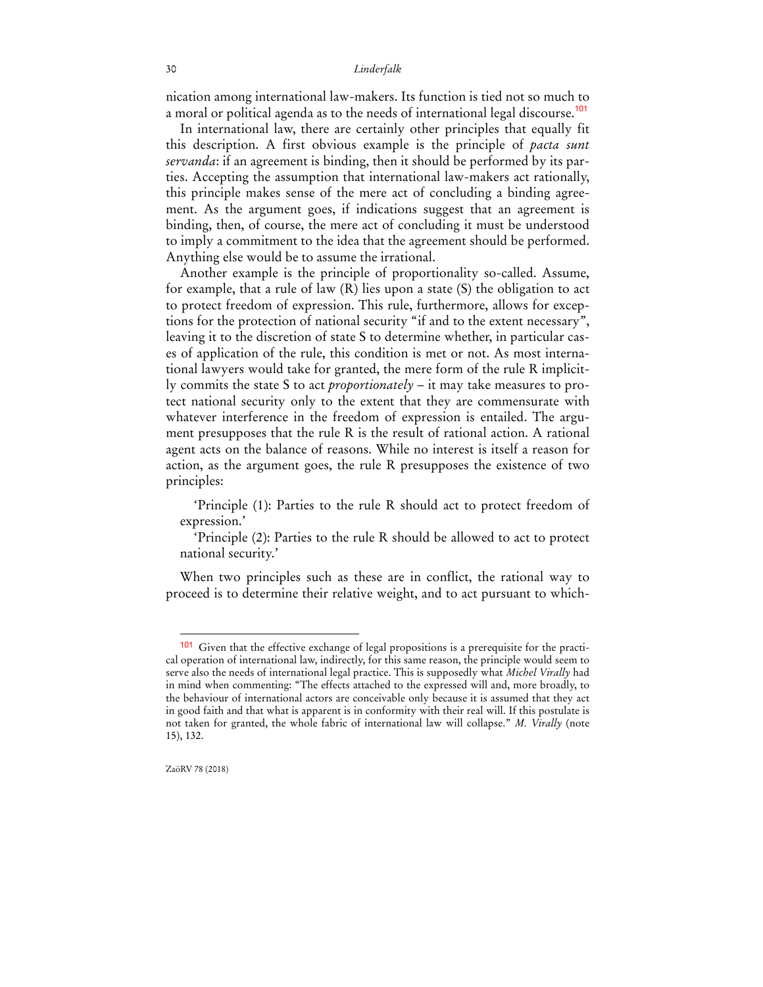nication among international law-makers. Its function is tied not so much to a moral or political agenda as to the needs of international legal discourse.<sup>101</sup>

In international law, there are certainly other principles that equally fit this description. A first obvious example is the principle of *pacta sunt servanda*: if an agreement is binding, then it should be performed by its parties. Accepting the assumption that international law-makers act rationally, this principle makes sense of the mere act of concluding a binding agreement. As the argument goes, if indications suggest that an agreement is binding, then, of course, the mere act of concluding it must be understood to imply a commitment to the idea that the agreement should be performed. Anything else would be to assume the irrational.

Another example is the principle of proportionality so-called. Assume, for example, that a rule of law (R) lies upon a state (S) the obligation to act to protect freedom of expression. This rule, furthermore, allows for exceptions for the protection of national security "if and to the extent necessary", leaving it to the discretion of state S to determine whether, in particular cases of application of the rule, this condition is met or not. As most international lawyers would take for granted, the mere form of the rule R implicitly commits the state S to act *proportionately* – it may take measures to protect national security only to the extent that they are commensurate with whatever interference in the freedom of expression is entailed. The argument presupposes that the rule R is the result of rational action. A rational agent acts on the balance of reasons. While no interest is itself a reason for action, as the argument goes, the rule R presupposes the existence of two principles:

'Principle (1): Parties to the rule R should act to protect freedom of expression.'

'Principle (2): Parties to the rule R should be allowed to act to protect national security.'

When two principles such as these are in conflict, the rational way to proceed is to determine their relative weight, and to act pursuant to which-

<sup>&</sup>lt;sup>101</sup> Given that the effective exchange of legal propositions is a prerequisite for the practical operation of international law, indirectly, for this same reason, the principle would seem to serve also the needs of international legal practice. This is supposedly what *Michel Virally* had in mind when commenting: "The effects attached to the expressed will and, more broadly, to the behaviour of international actors are conceivable only because it is assumed that they act in good faith and that what is apparent is in conformity with their real will. If this postulate is not taken for granted, the whole fabric of international law will collapse." *M. Virally* (note 15), 132.